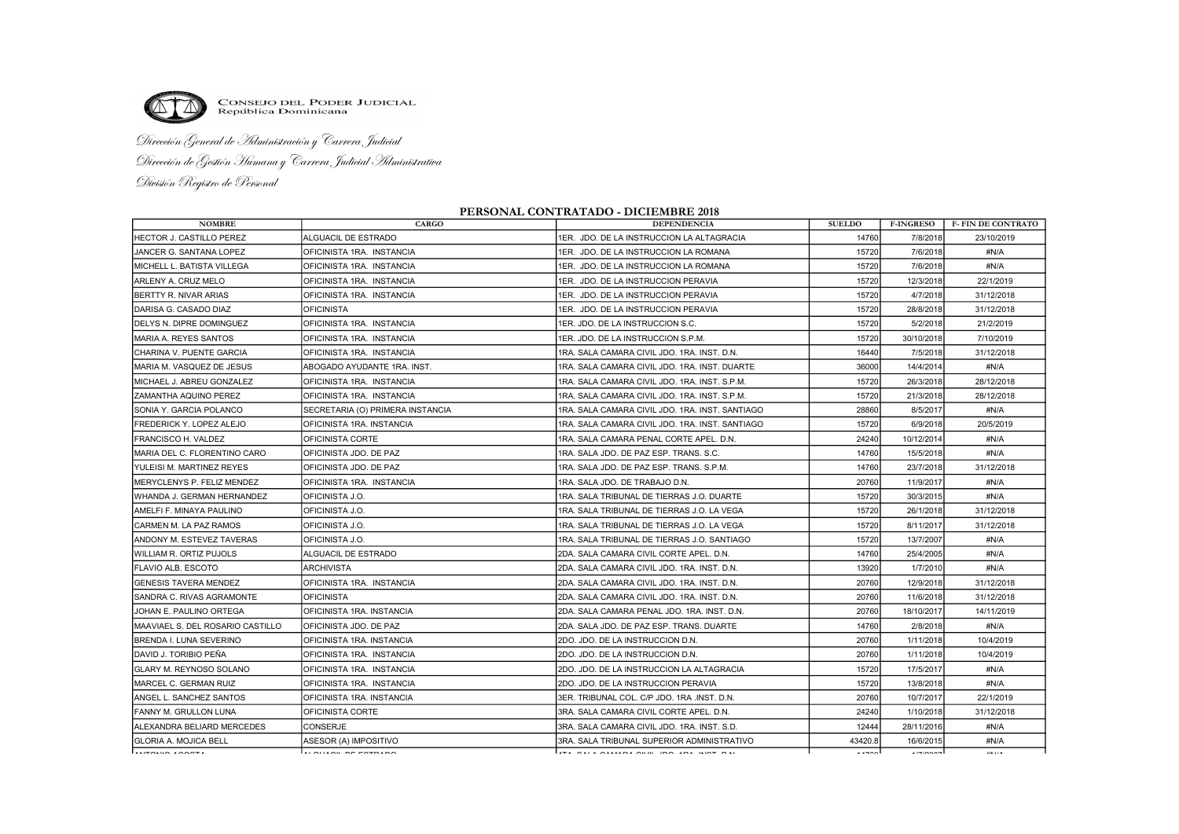

CONSEJO DEL PODER JUDICIAL<br>República Dominicana

Dirección General de Administración y Carrera Judicial Dirección de Gestión Humana y Carrera Judicial Administrativa División Registro de Personal

## PERSONAL CONTRATADO - DICIEMBRE 2018

| <b>NOMBRE</b>                     | <b>CARGO</b>                      | <b>DEPENDENCIA</b>                              | <b>SUELDO</b> | <b>F-INGRESO</b>                   | <b>F- FIN DE CONTRATO</b> |
|-----------------------------------|-----------------------------------|-------------------------------------------------|---------------|------------------------------------|---------------------------|
| <b>HECTOR J. CASTILLO PEREZ</b>   | ALGUACIL DE ESTRADO               | 1ER. JDO. DE LA INSTRUCCION LA ALTAGRACIA       | 14760         | 7/8/2018                           | 23/10/2019                |
| JANCER G. SANTANA LOPEZ           | OFICINISTA 1RA. INSTANCIA         | 1ER. JDO. DE LA INSTRUCCION LA ROMANA           | 15720         | 7/6/2018                           | #N/A                      |
| IMICHELL L. BATISTA VILLEGA       | IOFICINISTA 1RA. INSTANCIA        | 1ER. JDO. DE LA INSTRUCCION LA ROMANA           | 15720         | 7/6/2018                           | #N/A                      |
| IARLENY A. CRUZ MELO              | OFICINISTA 1RA. INSTANCIA         | 1ER. JDO. DE LA INSTRUCCION PERAVIA             | 15720         | 12/3/2018                          | 22/1/2019                 |
| BERTTY R. NIVAR ARIAS             | OFICINISTA 1RA. INSTANCIA         | 1ER. JDO. DE LA INSTRUCCION PERAVIA             | 15720         | 4/7/2018                           | 31/12/2018                |
| DARISA G. CASADO DIAZ             | <b>OFICINISTA</b>                 | 1ER. JDO. DE LA INSTRUCCION PERAVIA             | 15720         | 28/8/2018                          | 31/12/2018                |
| IDELYS N. DIPRE DOMINGUEZ         | OFICINISTA 1RA. INSTANCIA         | IER. JDO. DE LA INSTRUCCION S.C.                | 15720         | 5/2/2018                           | 21/2/2019                 |
| IMARIA A. REYES SANTOS            | OFICINISTA 1RA. INSTANCIA         | IER. JDO. DE LA INSTRUCCION S.P.M.              | 15720         | 30/10/2018                         | 7/10/2019                 |
| ICHARINA V. PUENTE GARCIA         | IOFICINISTA 1RA. INSTANCIA        | 1RA. SALA CAMARA CIVIL JDO. 1RA. INST. D.N.     | 16440         | 7/5/2018                           | 31/12/2018                |
| MARIA M. VASQUEZ DE JESUS         | ABOGADO AYUDANTE 1RA. INST.       | 1RA. SALA CAMARA CIVIL JDO. 1RA. INST. DUARTE   | 36000         | 14/4/2014                          | #N/A                      |
| MICHAEL J. ABREU GONZALEZ         | OFICINISTA 1RA. INSTANCIA         | 1RA. SALA CAMARA CIVIL JDO. 1RA. INST. S.P.M.   | 15720         | 26/3/2018                          | 28/12/2018                |
| ZAMANTHA AQUINO PEREZ             | OFICINISTA 1RA. INSTANCIA         | IRA. SALA CAMARA CIVIL JDO. 1RA. INST. S.P.M.   | 15720         | 21/3/2018                          | 28/12/2018                |
| ISONIA Y. GARCIA POLANCO          | SECRETARIA (O) PRIMERA INSTANCIA  | 1RA. SALA CAMARA CIVIL JDO. 1RA. INST. SANTIAGO | 28860         | 8/5/2017                           | #N/A                      |
| FREDERICK Y. LOPEZ ALEJO          | OFICINISTA 1RA. INSTANCIA         | IRA. SALA CAMARA CIVIL JDO. 1RA. INST. SANTIAGO | 15720         | 6/9/2018                           | 20/5/2019                 |
| FRANCISCO H. VALDEZ               | OFICINISTA CORTE                  | 1RA. SALA CAMARA PENAL CORTE APEL. D.N.         | 24240         | 10/12/2014                         | #N/A                      |
| IMARIA DEL C. FLORENTINO CARO     | IOFICINISTA JDO. DE PAZ           | 1RA. SALA JDO. DE PAZ ESP. TRANS. S.C.          | 14760         | 15/5/2018                          | #N/A                      |
| YULEISI M. MARTINEZ REYES         | OFICINISTA JDO. DE PAZ            | 1RA. SALA JDO. DE PAZ ESP. TRANS. S.P.M.        | 14760         | 23/7/2018                          | 31/12/2018                |
| MERYCLENYS P. FELIZ MENDEZ        | OFICINISTA 1RA. INSTANCIA         | 1RA. SALA JDO. DE TRABAJO D.N.                  | 20760         | 11/9/2017                          | #N/A                      |
| WHANDA J. GERMAN HERNANDEZ        | OFICINISTA J.O.                   | IRA. SALA TRIBUNAL DE TIERRAS J.O. DUARTE       | 15720         | 30/3/2015                          | #N/A                      |
| IAMELFI F. MINAYA PAULINO         | OFICINISTA J.O.                   | 1RA. SALA TRIBUNAL DE TIERRAS J.O. LA VEGA      | 15720         | 26/1/2018                          | 31/12/2018                |
| ICARMEN M. LA PAZ RAMOS           | OFICINISTA J.O.                   | 1RA. SALA TRIBUNAL DE TIERRAS J.O. LA VEGA      | 15720         | 8/11/2017                          | 31/12/2018                |
| IANDONY M. ESTEVEZ TAVERAS        | IOFICINISTA J.O.                  | 1RA. SALA TRIBUNAL DE TIERRAS J.O. SANTIAGO     | 15720         | 13/7/2007                          | #N/A                      |
| WILLIAM R. ORTIZ PUJOLS           | ALGUACIL DE ESTRADO               | 2DA. SALA CAMARA CIVIL CORTE APEL. D.N.         | 14760         | 25/4/2005                          | #N/A                      |
| FLAVIO ALB. ESCOTO                | ARCHIVISTA                        | 2DA. SALA CAMARA CIVIL JDO. 1RA. INST. D.N.     | 13920         | 1/7/2010                           | #N/A                      |
| <b>GENESIS TAVERA MENDEZ</b>      | OFICINISTA 1RA. INSTANCIA         | 2DA. SALA CAMARA CIVIL JDO. 1RA. INST. D.N.     | 20760         | 12/9/2018                          | 31/12/2018                |
| SANDRA C. RIVAS AGRAMONTE         | <b>OFICINISTA</b>                 | 2DA. SALA CAMARA CIVIL JDO. 1RA. INST. D.N.     | 20760         | 11/6/2018                          | 31/12/2018                |
| JOHAN E. PAULINO ORTEGA           | OFICINISTA 1RA. INSTANCIA         | 2DA. SALA CAMARA PENAL JDO. 1RA. INST. D.N.     | 20760         | 18/10/2017                         | 14/11/2019                |
| IMAAVIAEL S. DEL ROSARIO CASTILLO | <b>JOFICINISTA JDO. DE PAZ</b>    | 2DA. SALA JDO. DE PAZ ESP. TRANS. DUARTE        | 14760         | 2/8/2018                           | #N/A                      |
| BRENDA I. LUNA SEVERINO           | OFICINISTA 1RA. INSTANCIA         | 2DO. JDO. DE LA INSTRUCCION D.N.                | 20760         | 1/11/2018                          | 10/4/2019                 |
| DAVID J. TORIBIO PEÑA             | <b>IOFICINISTA 1RA. INSTANCIA</b> | 2DO. JDO. DE LA INSTRUCCION D.N.                | 20760         | 1/11/2018                          | 10/4/2019                 |
| IGLARY M. REYNOSO SOLANO          | OFICINISTA 1RA. INSTANCIA         | 2DO. JDO. DE LA INSTRUCCION LA ALTAGRACIA       | 15720         | 17/5/2017                          | #N/A                      |
| MARCEL C. GERMAN RUIZ             | OFICINISTA 1RA. INSTANCIA         | 2DO. JDO. DE LA INSTRUCCION PERAVIA             | 15720         | 13/8/2018                          | #N/A                      |
| ANGEL L. SANCHEZ SANTOS           | OFICINISTA 1RA. INSTANCIA         | 3ER. TRIBUNAL COL. C/P JDO. 1RA .INST. D.N.     | 20760         | 10/7/2017                          | 22/1/2019                 |
| <b>FANNY M. GRULLON LUNA</b>      | IOFICINISTA CORTE                 | 3RA. SALA CAMARA CIVIL CORTE APEL. D.N.         | 24240         | 1/10/2018                          | 31/12/2018                |
| ALEXANDRA BELIARD MERCEDES        | <b>CONSERJE</b>                   | 3RA. SALA CAMARA CIVIL JDO. 1RA. INST. S.D.     | 12444         | 28/11/2016                         | #N/A                      |
| GLORIA A. MOJICA BELL             | ASESOR (A) IMPOSITIVO             | 3RA. SALA TRIBUNAL SUPERIOR ADMINISTRATIVO      | 43420.8       | 16/6/2015                          | #N/A                      |
| لتحممت مستمسينا                   |                                   | lah siris siring saan assi asi ayah sir         | $11 - 22$     | $\cdot$ $ \cdot$ $\sim$ $\sim$ $-$ | $\cdots$                  |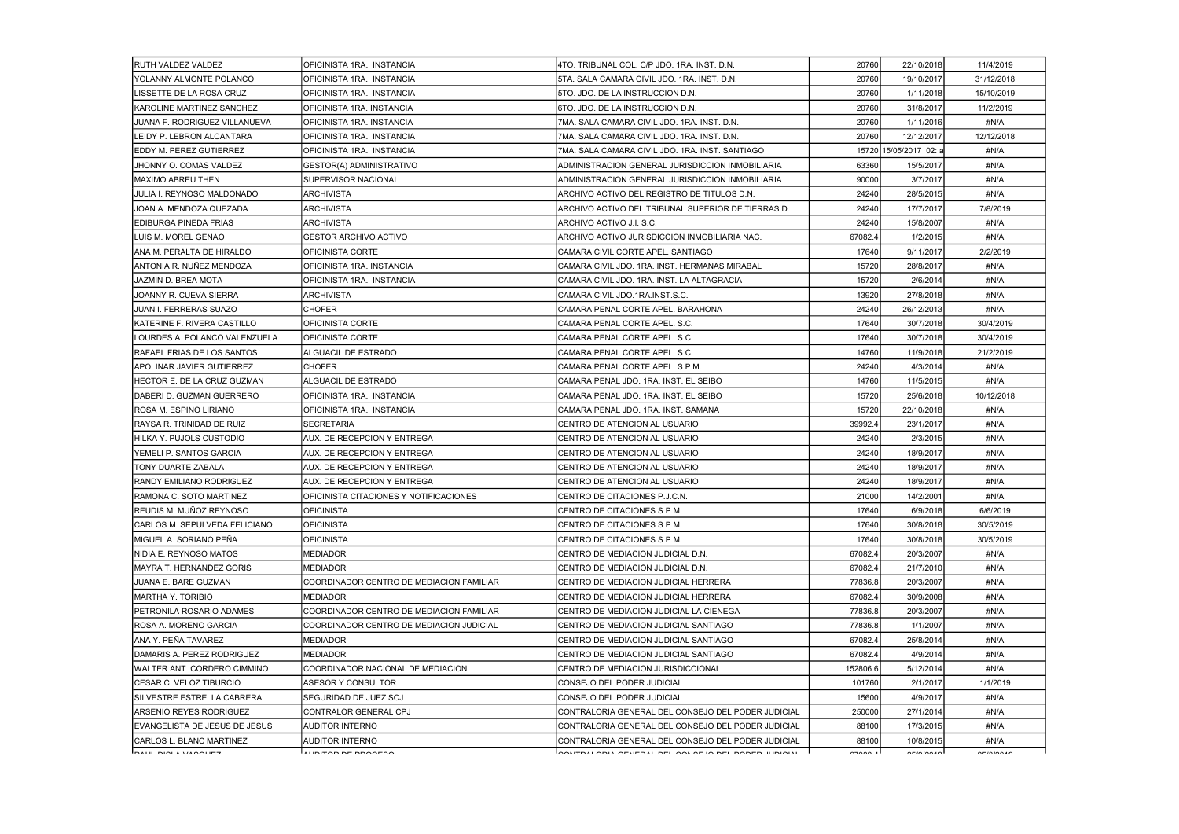| RUTH VALDEZ VALDEZ                | OFICINISTA 1RA. INSTANCIA                | 4TO. TRIBUNAL COL. C/P JDO. 1RA. INST. D.N.        | 20760    | 22/10/2018                                                                | 11/4/2019  |
|-----------------------------------|------------------------------------------|----------------------------------------------------|----------|---------------------------------------------------------------------------|------------|
| YOLANNY ALMONTE POLANCO           | OFICINISTA 1RA. INSTANCIA                | 5TA. SALA CAMARA CIVIL JDO. 1RA. INST. D.N.        | 20760    | 19/10/2017                                                                | 31/12/2018 |
| LISSETTE DE LA ROSA CRUZ          | OFICINISTA 1RA. INSTANCIA                | 5TO. JDO. DE LA INSTRUCCION D.N.                   | 20760    | 1/11/2018                                                                 | 15/10/2019 |
| IKAROLINE MARTINEZ SANCHEZ        | OFICINISTA 1RA. INSTANCIA                | 6TO. JDO. DE LA INSTRUCCION D.N.                   | 20760    | 31/8/2017                                                                 | 11/2/2019  |
| JUANA F. RODRIGUEZ VILLANUEVA     | OFICINISTA 1RA. INSTANCIA                | 7MA. SALA CAMARA CIVIL JDO. 1RA. INST. D.N.        | 20760    | 1/11/2016                                                                 | #N/A       |
| LEIDY P. LEBRON ALCANTARA         | OFICINISTA 1RA. INSTANCIA                | 7MA, SALA CAMARA CIVIL JDO, 1RA, INST, D.N.        | 20760    | 12/12/2017                                                                | 12/12/2018 |
| EDDY M. PEREZ GUTIERREZ           | OFICINISTA 1RA. INSTANCIA                | 7MA, SALA CAMARA CIVIL JDO, 1RA, INST, SANTIAGO    |          | 15720 15/05/2017 02: a                                                    | #N/A       |
| IJHONNY O. COMAS VALDEZ           | GESTOR(A) ADMINISTRATIVO                 | ADMINISTRACION GENERAL JURISDICCION INMOBILIARIA   | 63360    | 15/5/2017                                                                 | #N/A       |
| MAXIMO ABREU THEN                 | SUPERVISOR NACIONAL                      | ADMINISTRACION GENERAL JURISDICCION INMOBILIARIA   | 90000    | 3/7/2017                                                                  | #N/A       |
| JULIA I. REYNOSO MALDONADO        | ARCHIVISTA                               | ARCHIVO ACTIVO DEL REGISTRO DE TITULOS D.N.        | 24240    | 28/5/2015                                                                 | #N/A       |
| JOAN A. MENDOZA QUEZADA           | <b>ARCHIVISTA</b>                        | ARCHIVO ACTIVO DEL TRIBUNAL SUPERIOR DE TIERRAS D. | 24240    | 17/7/2017                                                                 | 7/8/2019   |
| EDIBURGA PINEDA FRIAS             | <b>ARCHIVISTA</b>                        | ARCHIVO ACTIVO J.I. S.C.                           | 24240    | 15/8/2007                                                                 | #N/A       |
| ILUIS M. MOREL GENAO              | <b>GESTOR ARCHIVO ACTIVO</b>             | ARCHIVO ACTIVO JURISDICCION INMOBILIARIA NAC.      | 67082.   | 1/2/2015                                                                  | #N/A       |
| <b>JANA M. PERALTA DE HIRALDO</b> | OFICINISTA CORTE                         | CAMARA CIVIL CORTE APEL. SANTIAGO                  | 17640    | 9/11/2017                                                                 | 2/2/2019   |
| ANTONIA R. NUÑEZ MENDOZA          | OFICINISTA 1RA. INSTANCIA                | CAMARA CIVIL JDO. 1RA. INST. HERMANAS MIRABAL      | 15720    | 28/8/2017                                                                 | #N/A       |
| JAZMIN D. BREA MOTA               | OFICINISTA 1RA. INSTANCIA                | CAMARA CIVIL JDO, 1RA, INST, LA ALTAGRACIA         | 15720    | 2/6/2014                                                                  | #N/A       |
| JOANNY R. CUEVA SIERRA            | ARCHIVISTA                               | CAMARA CIVIL JDO 1RA INST S.C.                     | 13920    | 27/8/2018                                                                 | #N/A       |
| <b>JUAN I. FERRERAS SUAZO</b>     | <b>CHOFER</b>                            | CAMARA PENAL CORTE APEL. BARAHONA                  | 24240    | 26/12/2013                                                                | #N/A       |
| IKATERINE F. RIVERA CASTILLO      | OFICINISTA CORTE                         | CAMARA PENAL CORTE APEL. S.C.                      | 17640    | 30/7/2018                                                                 | 30/4/2019  |
| ILOURDES A. POLANCO VALENZUELA    | OFICINISTA CORTE                         | CAMARA PENAL CORTE APEL, S.C.                      | 17640    | 30/7/2018                                                                 | 30/4/2019  |
| RAFAEL FRIAS DE LOS SANTOS        | ALGUACIL DE ESTRADO                      | CAMARA PENAL CORTE APEL. S.C.                      | 14760    | 11/9/2018                                                                 | 21/2/2019  |
| APOLINAR JAVIER GUTIERREZ         | <b>CHOFER</b>                            | CAMARA PENAL CORTE APEL. S.P.M.                    | 24240    | 4/3/2014                                                                  | #N/A       |
| HECTOR E. DE LA CRUZ GUZMAN       | ALGUACIL DE ESTRADO                      | CAMARA PENAL JDO. 1RA. INST. EL SEIBO              | 14760    | 11/5/2015                                                                 | #N/A       |
| DABERI D. GUZMAN GUERRERO         | OFICINISTA 1RA. INSTANCIA                | CAMARA PENAL JDO. 1RA. INST. EL SEIBO              | 15720    | 25/6/2018                                                                 | 10/12/2018 |
| IROSA M. ESPINO LIRIANO           | OFICINISTA 1RA. INSTANCIA                | CAMARA PENAL JDO. 1RA. INST. SAMANA                | 15720    | 22/10/2018                                                                | #N/A       |
| IRAYSA R. TRINIDAD DE RUIZ        | <b>SECRETARIA</b>                        | CENTRO DE ATENCION AL USUARIO                      | 39992.4  | 23/1/2017                                                                 | #N/A       |
| IHILKA Y. PUJOLS CUSTODIO         | AUX. DE RECEPCION Y ENTREGA              | CENTRO DE ATENCION AL USUARIO                      | 24240    | 2/3/2015                                                                  | #N/A       |
| YEMELI P. SANTOS GARCIA           | AUX. DE RECEPCION Y ENTREGA              | CENTRO DE ATENCION AL USUARIO                      | 24240    | 18/9/2017                                                                 | #N/A       |
| TONY DUARTE ZABALA                | AUX. DE RECEPCION Y ENTREGA              | CENTRO DE ATENCION AL USUARIO                      | 24240    | 18/9/2017                                                                 | #N/A       |
| <b>RANDY EMILIANO RODRIGUEZ</b>   | AUX. DE RECEPCION Y ENTREGA              | CENTRO DE ATENCION AL USUARIO                      | 24240    | 18/9/2017                                                                 | #N/A       |
| IRAMONA C. SOTO MARTINEZ          | OFICINISTA CITACIONES Y NOTIFICACIONES   | CENTRO DE CITACIONES P.J.C.N.                      | 21000    | 14/2/2001                                                                 | #N/A       |
| <b>IREUDIS M. MUÑOZ REYNOSO</b>   | <b>OFICINISTA</b>                        | CENTRO DE CITACIONES S.P.M.                        | 17640    | 6/9/2018                                                                  | 6/6/2019   |
| ICARLOS M. SEPULVEDA FELICIANO    | <b>OFICINISTA</b>                        | CENTRO DE CITACIONES S.P.M.                        | 17640    | 30/8/2018                                                                 | 30/5/2019  |
| IMIGUEL A. SORIANO PEÑA           | <b>OFICINISTA</b>                        | CENTRO DE CITACIONES S.P.M.                        | 17640    | 30/8/2018                                                                 | 30/5/2019  |
| NIDIA E. REYNOSO MATOS            | <b>MEDIADOR</b>                          | CENTRO DE MEDIACION JUDICIAL D.N.                  | 67082.4  | 20/3/2007                                                                 | #N/A       |
| IMAYRA T. HERNANDEZ GORIS         | MEDIADOR                                 | CENTRO DE MEDIACION JUDICIAL D.N.                  | 67082.4  | 21/7/2010                                                                 | #N/A       |
| JUANA E. BARE GUZMAN              | COORDINADOR CENTRO DE MEDIACION FAMILIAR | CENTRO DE MEDIACION JUDICIAL HERRERA               | 77836.8  | 20/3/2007                                                                 | #N/A       |
| IMARTHA Y. TORIBIO                | MEDIADOR                                 | CENTRO DE MEDIACION JUDICIAL HERRERA               | 67082.4  | 30/9/2008                                                                 | #N/A       |
| IPETRONILA ROSARIO ADAMES         | COORDINADOR CENTRO DE MEDIACION FAMILIAR | CENTRO DE MEDIACION JUDICIAL LA CIENEGA            | 77836.8  | 20/3/2007                                                                 | #N/A       |
| ROSA A. MORENO GARCIA             | COORDINADOR CENTRO DE MEDIACION JUDICIAL | CENTRO DE MEDIACION JUDICIAL SANTIAGO              | 77836.8  | 1/1/2007                                                                  | #N/A       |
| IANA Y. PEÑA TAVAREZ              | <b>MEDIADOR</b>                          | CENTRO DE MEDIACION JUDICIAL SANTIAGO              | 67082.4  | 25/8/2014                                                                 | #N/A       |
| DAMARIS A. PEREZ RODRIGUEZ        | MEDIADOR                                 | CENTRO DE MEDIACION JUDICIAL SANTIAGO              | 67082.4  | 4/9/2014                                                                  | #N/A       |
| IWALTER ANT. CORDERO CIMMINO      | COORDINADOR NACIONAL DE MEDIACION        | CENTRO DE MEDIACION JURISDICCIONAL                 | 152806.6 | 5/12/2014                                                                 | #N/A       |
| ICESAR C. VELOZ TIBURCIO          | ASESOR Y CONSULTOR                       | CONSEJO DEL PODER JUDICIAL                         | 101760   | 2/1/2017                                                                  | 1/1/2019   |
| SILVESTRE ESTRELLA CABRERA        | SEGURIDAD DE JUEZ SCJ                    | CONSEJO DEL PODER JUDICIAL                         | 15600    | 4/9/2017                                                                  | #N/A       |
| IARSENIO REYES RODRIGUEZ          | CONTRALOR GENERAL CPJ                    | CONTRALORIA GENERAL DEL CONSEJO DEL PODER JUDICIAL | 250000   | 27/1/2014                                                                 | #N/A       |
| EVANGELISTA DE JESUS DE JESUS     | <b>AUDITOR INTERNO</b>                   | CONTRALORIA GENERAL DEL CONSEJO DEL PODER JUDICIAL | 88100    | 17/3/2015                                                                 | #N/A       |
| ICARLOS L. BLANC MARTINEZ         | AUDITOR INTERNO                          | CONTRALORIA GENERAL DEL CONSEJO DEL PODER JUDICIAL | 88100    | 10/8/2015                                                                 | #N/A       |
|                                   | launitan ne nnaaeaa                      | LOOPEN ONLATERLE BEL ONDER BEL BOBER BIBLOIL       | $\sim$   | $\begin{array}{c}\n\bullet \\ \bullet \\ \bullet \\ \bullet\n\end{array}$ |            |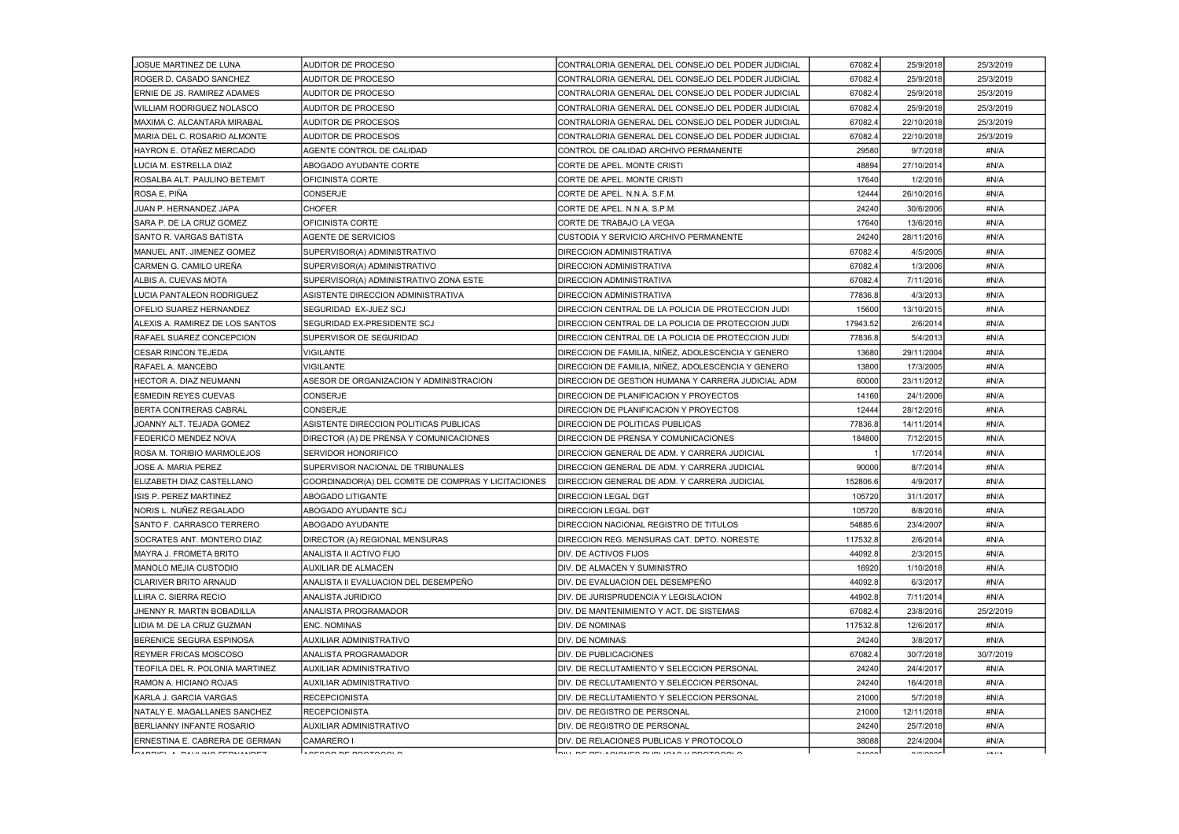| JOSUE MARTINEZ DE LUNA          | <b>AUDITOR DE PROCESO</b>                           | CONTRALORIA GENERAL DEL CONSEJO DEL PODER JUDICIAL                    | 67082.4  | 25/9/2018             | 25/3/2019 |
|---------------------------------|-----------------------------------------------------|-----------------------------------------------------------------------|----------|-----------------------|-----------|
| ROGER D. CASADO SANCHEZ         | <b>AUDITOR DE PROCESO</b>                           | CONTRALORIA GENERAL DEL CONSEJO DEL PODER JUDICIAL                    | 67082.4  | 25/9/2018             | 25/3/2019 |
| ERNIE DE JS. RAMIREZ ADAMES     | <b>AUDITOR DE PROCESO</b>                           | CONTRALORIA GENERAL DEL CONSEJO DEL PODER JUDICIAL                    | 67082.4  | 25/9/2018             | 25/3/2019 |
| IWILLIAM RODRIGUEZ NOLASCO      | <b>AUDITOR DE PROCESO</b>                           | CONTRALORIA GENERAL DEL CONSEJO DEL PODER JUDICIAL                    | 67082.4  | 25/9/2018             | 25/3/2019 |
| MAXIMA C. ALCANTARA MIRABAL     | AUDITOR DE PROCESOS                                 | CONTRALORIA GENERAL DEL CONSEJO DEL PODER JUDICIAL                    | 67082.4  | 22/10/2018            | 25/3/2019 |
| MARIA DEL C. ROSARIO ALMONTE    | <b>AUDITOR DE PROCESOS</b>                          | CONTRALORIA GENERAL DEL CONSEJO DEL PODER JUDICIAL                    | 67082.   | 22/10/2018            | 25/3/2019 |
| HAYRON E. OTAÑEZ MERCADO        | AGENTE CONTROL DE CALIDAD                           | CONTROL DE CALIDAD ARCHIVO PERMANENTE                                 | 29580    | 9/7/2018              | #N/A      |
| LUCIA M. ESTRELLA DIAZ          | ABOGADO AYUDANTE CORTE                              | CORTE DE APEL. MONTE CRISTI                                           | 48894    | 27/10/2014            | #N/A      |
| ROSALBA ALT. PAULINO BETEMIT    | OFICINISTA CORTE                                    | CORTE DE APEL. MONTE CRISTI                                           | 17640    | 1/2/2016              | #N/A      |
| ROSA E. PIÑA                    | CONSERJE                                            | CORTE DE APEL. N.N.A. S.F.M.                                          | 12444    | 26/10/2016            | #N/A      |
| JUAN P. HERNANDEZ JAPA          | <b>CHOFER</b>                                       | CORTE DE APEL. N.N.A. S.P.M.                                          | 24240    | 30/6/2006             | #N/A      |
| SARA P. DE LA CRUZ GOMEZ        | OFICINISTA CORTE                                    | CORTE DE TRABAJO LA VEGA                                              | 17640    | 13/6/2016             | #N/A      |
| SANTO R. VARGAS BATISTA         | <b>AGENTE DE SERVICIOS</b>                          | CUSTODIA Y SERVICIO ARCHIVO PERMANENTE                                | 24240    | 28/11/2016            | #N/A      |
| MANUEL ANT. JIMENEZ GOMEZ       | SUPERVISOR(A) ADMINISTRATIVO                        | <b>DIRECCION ADMINISTRATIVA</b>                                       | 67082.4  | 4/5/2005              | #N/A      |
| CARMEN G. CAMILO UREÑA          | SUPERVISOR(A) ADMINISTRATIVO                        | <b>DIRECCION ADMINISTRATIVA</b>                                       | 67082.4  | 1/3/2006              | #N/A      |
| ALBIS A. CUEVAS MOTA            | SUPERVISOR(A) ADMINISTRATIVO ZONA ESTE              | <b>DIRECCION ADMINISTRATIVA</b>                                       | 67082.4  | 7/11/2016             | #N/A      |
| LUCIA PANTALEON RODRIGUEZ       | ASISTENTE DIRECCION ADMINISTRATIVA                  | <b>DIRECCION ADMINISTRATIVA</b>                                       | 77836.8  | 4/3/2013              | #N/A      |
| <b>OFELIO SUAREZ HERNANDEZ</b>  | SEGURIDAD EX-JUEZ SCJ                               | DIRECCION CENTRAL DE LA POLICIA DE PROTECCION JUDI                    | 15600    | 13/10/2015            | #N/A      |
| ALEXIS A. RAMIREZ DE LOS SANTOS | SEGURIDAD EX-PRESIDENTE SCJ                         | DIRECCION CENTRAL DE LA POLICIA DE PROTECCION JUDI                    | 17943.52 | 2/6/2014              | #N/A      |
| RAFAEL SUAREZ CONCEPCION        | SUPERVISOR DE SEGURIDAD                             | DIRECCION CENTRAL DE LA POLICIA DE PROTECCION JUDI                    | 77836.8  | 5/4/2013              | #N/A      |
| CESAR RINCON TEJEDA             | VIGILANTE                                           | DIRECCION DE FAMILIA, NIÑEZ, ADOLESCENCIA Y GENERO                    | 13680    | 29/11/2004            | #N/A      |
| RAFAEL A. MANCEBO               | VIGILANTE                                           | DIRECCION DE FAMILIA, NIÑEZ, ADOLESCENCIA Y GENERO                    | 13800    | 17/3/2005             | #N/A      |
| HECTOR A. DIAZ NEUMANN          | ASESOR DE ORGANIZACION Y ADMINISTRACION             | DIRECCION DE GESTION HUMANA Y CARRERA JUDICIAL ADM                    | 60000    | 23/11/2012            | #N/A      |
| <b>ESMEDIN REYES CUEVAS</b>     | CONSERJE                                            | DIRECCION DE PLANIFICACION Y PROYECTOS                                | 14160    | 24/1/2006             | #N/A      |
| BERTA CONTRERAS CABRAL          | <b>CONSERJE</b>                                     | DIRECCION DE PLANIFICACION Y PROYECTOS                                | 12444    | 28/12/2016            | #N/A      |
| JOANNY ALT. TEJADA GOMEZ        | ASISTENTE DIRECCION POLITICAS PUBLICAS              | DIRECCION DE POLITICAS PUBLICAS                                       | 77836.8  | 14/11/2014            | #N/A      |
| <b>FEDERICO MENDEZ NOVA</b>     | DIRECTOR (A) DE PRENSA Y COMUNICACIONES             | <b>DIRECCION DE PRENSA Y COMUNICACIONES</b>                           | 184800   | 7/12/2015             | #N/A      |
| ROSA M. TORIBIO MARMOLEJOS      | <b>SERVIDOR HONORIFICO</b>                          | DIRECCION GENERAL DE ADM. Y CARRERA JUDICIAL                          |          | 1/7/2014              | #N/A      |
| JOSE A. MARIA PEREZ             | SUPERVISOR NACIONAL DE TRIBUNALES                   | DIRECCION GENERAL DE ADM. Y CARRERA JUDICIAL                          | 90000    | 8/7/2014              | #N/A      |
| ELIZABETH DIAZ CASTELLANO       | COORDINADOR(A) DEL COMITE DE COMPRAS Y LICITACIONES | DIRECCION GENERAL DE ADM. Y CARRERA JUDICIAL                          | 152806.6 | 4/9/2017              | #N/A      |
| ISIS P. PEREZ MARTINEZ          | ABOGADO LITIGANTE                                   | <b>DIRECCION LEGAL DGT</b>                                            | 105720   | 31/1/2017             | #N/A      |
| NORIS L. NUÑEZ REGALADO         | ABOGADO AYUDANTE SCJ                                | <b>DIRECCION LEGAL DGT</b>                                            | 105720   | 8/8/2016              | #N/A      |
| ISANTO F. CARRASCO TERRERO      | ABOGADO AYUDANTE                                    | DIRECCION NACIONAL REGISTRO DE TITULOS                                | 54885.6  | 23/4/2007             | #N/A      |
| ISOCRATES ANT. MONTERO DIAZ     | DIRECTOR (A) REGIONAL MENSURAS                      | DIRECCION REG. MENSURAS CAT. DPTO. NORESTE                            | 117532.8 | 2/6/2014              | #N/A      |
| IMAYRA J. FROMETA BRITO         | ANALISTA II ACTIVO FIJO                             | DIV. DE ACTIVOS FIJOS                                                 | 44092.8  | 2/3/2015              | #N/A      |
| <b>MANOLO MEJIA CUSTODIO</b>    | <b>AUXILIAR DE ALMACEN</b>                          | DIV. DE ALMACEN Y SUMINISTRO                                          | 16920    | 1/10/2018             | #N/A      |
| <b>ICLARIVER BRITO ARNAUD</b>   | ANALISTA II EVALUACION DEL DESEMPEÑO                | DIV. DE EVALUACION DEL DESEMPEÑO                                      | 44092.8  | 6/3/2017              | #N/A      |
| LLIRA C. SIERRA RECIO           | ANALISTA JURIDICO                                   | DIV. DE JURISPRUDENCIA Y LEGISLACION                                  | 44902.8  | 7/11/2014             | #N/A      |
| JHENNY R. MARTIN BOBADILLA      | ANALISTA PROGRAMADOR                                | DIV. DE MANTENIMIENTO Y ACT. DE SISTEMAS                              | 67082.4  | 23/8/2016             | 25/2/2019 |
| LIDIA M. DE LA CRUZ GUZMAN      | <b>ENC. NOMINAS</b>                                 | IDIV. DE NOMINAS                                                      | 117532.8 | 12/6/2017             | #N/A      |
| IBERENICE SEGURA ESPINOSA       | AUXILIAR ADMINISTRATIVO                             | DIV. DE NOMINAS                                                       | 24240    | 3/8/2017              | #N/A      |
| <b>REYMER FRICAS MOSCOSO</b>    | ANALISTA PROGRAMADOR                                | <b>DIV. DE PUBLICACIONES</b>                                          | 67082.4  | 30/7/2018             | 30/7/2019 |
| TEOFILA DEL R. POLONIA MARTINEZ | AUXILIAR ADMINISTRATIVO                             | DIV. DE RECLUTAMIENTO Y SELECCION PERSONAL                            | 24240    | 24/4/2017             | #N/A      |
| RAMON A. HICIANO ROJAS          | AUXILIAR ADMINISTRATIVO                             | DIV. DE RECLUTAMIENTO Y SELECCION PERSONAL                            | 24240    | 16/4/2018             | #N/A      |
| KARLA J. GARCIA VARGAS          | <b>RECEPCIONISTA</b>                                | DIV. DE RECLUTAMIENTO Y SELECCION PERSONAL                            | 21000    | 5/7/2018              | #N/A      |
| NATALY E. MAGALLANES SANCHEZ    | <b>RECEPCIONISTA</b>                                | DIV. DE REGISTRO DE PERSONAL                                          | 21000    | 12/11/2018            | #N/A      |
| BERLIANNY INFANTE ROSARIO       | AUXILIAR ADMINISTRATIVO                             | IDIV. DE REGISTRO DE PERSONAL                                         | 24240    | 25/7/2018             | #N/A      |
| ERNESTINA E. CABRERA DE GERMAN  | <b>CAMARERO I</b>                                   | DIV. DE RELACIONES PUBLICAS Y PROTOCOLO                               | 38088    | 22/4/2004             | #N/A      |
| $\sim$                          | $\overline{10}$                                     | $\mathsf{In}_{\mathbb{R}}$ , at an example below in the variance of a | $\cdots$ | $\sum_{n=1}^{\infty}$ | 118.17.8  |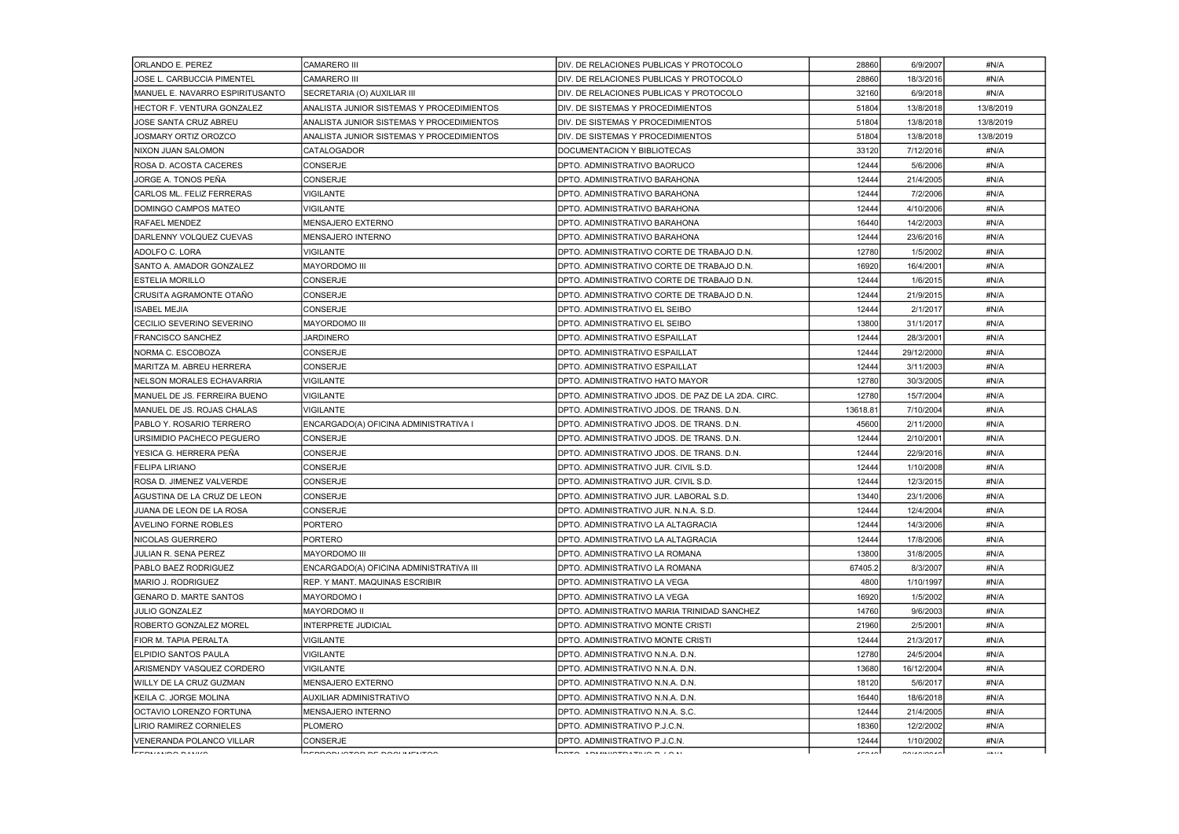| <b>ORLANDO E. PEREZ</b>           | <b>CAMARERO III</b>                       | DIV. DE RELACIONES PUBLICAS Y PROTOCOLO            | 28860    | 6/9/2007    | #N/A      |
|-----------------------------------|-------------------------------------------|----------------------------------------------------|----------|-------------|-----------|
| JOSE L. CARBUCCIA PIMENTEL        | <b>CAMARERO III</b>                       | DIV. DE RELACIONES PUBLICAS Y PROTOCOLO            | 28860    | 18/3/2016   | #N/A      |
| MANUEL E. NAVARRO ESPIRITUSANTO   | SECRETARIA (O) AUXILIAR III               | DIV. DE RELACIONES PUBLICAS Y PROTOCOLO            | 32160    | 6/9/2018    | #N/A      |
| <b>HECTOR F. VENTURA GONZALEZ</b> | ANALISTA JUNIOR SISTEMAS Y PROCEDIMIENTOS | DIV. DE SISTEMAS Y PROCEDIMIENTOS                  | 51804    | 13/8/2018   | 13/8/2019 |
| JOSE SANTA CRUZ ABREU             | ANALISTA JUNIOR SISTEMAS Y PROCEDIMIENTOS | DIV. DE SISTEMAS Y PROCEDIMIENTOS                  | 51804    | 13/8/2018   | 13/8/2019 |
| JOSMARY ORTIZ OROZCO              | ANALISTA JUNIOR SISTEMAS Y PROCEDIMIENTOS | DIV. DE SISTEMAS Y PROCEDIMIENTOS                  | 51804    | 13/8/2018   | 13/8/2019 |
| NIXON JUAN SALOMON                | <b>CATALOGADOR</b>                        | DOCUMENTACION Y BIBLIOTECAS                        | 33120    | 7/12/2016   | #N/A      |
| ROSA D. ACOSTA CACERES            | <b>CONSERJE</b>                           | DPTO. ADMINISTRATIVO BAORUCO                       | 12444    | 5/6/2006    | #N/A      |
| JORGE A. TONOS PEÑA               | <b>CONSERJE</b>                           | DPTO. ADMINISTRATIVO BARAHONA                      | 12444    | 21/4/2005   | #N/A      |
| CARLOS ML. FELIZ FERRERAS         | VIGILANTE                                 | DPTO. ADMINISTRATIVO BARAHONA                      | 12444    | 7/2/2006    | #N/A      |
| DOMINGO CAMPOS MATEO              | VIGILANTE                                 | DPTO. ADMINISTRATIVO BARAHONA                      | 12444    | 4/10/2006   | #N/A      |
| RAFAEL MENDEZ                     | MENSAJERO EXTERNO                         | DPTO. ADMINISTRATIVO BARAHONA                      | 16440    | 14/2/2003   | #N/A      |
| <b>IDARLENNY VOLQUEZ CUEVAS</b>   | MENSAJERO INTERNO                         | DPTO. ADMINISTRATIVO BARAHONA                      | 12444    | 23/6/2016   | #N/A      |
| ADOLFO C. LORA                    | VIGILANTE                                 | DPTO. ADMINISTRATIVO CORTE DE TRABAJO D.N.         | 12780    | 1/5/2002    | #N/A      |
| SANTO A. AMADOR GONZALEZ          | <b>MAYORDOMO III</b>                      | DPTO. ADMINISTRATIVO CORTE DE TRABAJO D.N.         | 16920    | 16/4/2001   | #N/A      |
| <b>ESTELIA MORILLO</b>            | CONSERJE                                  | DPTO. ADMINISTRATIVO CORTE DE TRABAJO D.N.         | 12444    | 1/6/2015    | #N/A      |
| CRUSITA AGRAMONTE OTAÑO           | CONSERJE                                  | DPTO. ADMINISTRATIVO CORTE DE TRABAJO D.N.         | 12444    | 21/9/2015   | #N/A      |
| <b>ISABEL MEJIA</b>               | <b>CONSERJE</b>                           | DPTO. ADMINISTRATIVO EL SEIBO                      | 12444    | 2/1/2017    | #N/A      |
| CECILIO SEVERINO SEVERINO         | <b>MAYORDOMO III</b>                      | DPTO. ADMINISTRATIVO EL SEIBO                      | 13800    | 31/1/2017   | #N/A      |
| <b>FRANCISCO SANCHEZ</b>          | <b>JARDINERO</b>                          | DPTO. ADMINISTRATIVO ESPAILLAT                     | 12444    | 28/3/2001   | #N/A      |
| NORMA C. ESCOBOZA                 | CONSERJE                                  | DPTO. ADMINISTRATIVO ESPAILLAT                     | 12444    | 29/12/2000  | #N/A      |
| MARITZA M. ABREU HERRERA          | <b>CONSERJE</b>                           | DPTO. ADMINISTRATIVO ESPAILLAT                     | 12444    | 3/11/2003   | #N/A      |
| INELSON MORALES ECHAVARRIA        | VIGILANTE                                 | DPTO. ADMINISTRATIVO HATO MAYOR                    | 12780    | 30/3/2005   | #N/A      |
| MANUEL DE JS. FERREIRA BUENO      | VIGILANTE                                 | DPTO. ADMINISTRATIVO JDOS. DE PAZ DE LA 2DA. CIRC. | 12780    | 15/7/2004   | #N/A      |
| MANUEL DE JS. ROJAS CHALAS        | <b>VIGILANTE</b>                          | DPTO. ADMINISTRATIVO JDOS. DE TRANS. D.N.          | 13618.81 | 7/10/2004   | #N/A      |
| PABLO Y. ROSARIO TERRERO          | ENCARGADO(A) OFICINA ADMINISTRATIVA I     | DPTO. ADMINISTRATIVO JDOS. DE TRANS. D.N.          | 45600    | 2/11/2000   | #N/A      |
| URSIMIDIO PACHECO PEGUERO         | <b>CONSERJE</b>                           | DPTO. ADMINISTRATIVO JDOS. DE TRANS. D.N.          | 12444    | 2/10/2001   | #N/A      |
| YESICA G. HERRERA PEÑA            | CONSERJE                                  | DPTO. ADMINISTRATIVO JDOS. DE TRANS. D.N.          | 12444    | 22/9/2016   | #N/A      |
| <b>FELIPA LIRIANO</b>             | <b>CONSERJE</b>                           | DPTO, ADMINISTRATIVO JUR. CIVIL S.D.               | 12444    | 1/10/2008   | #N/A      |
| ROSA D. JIMENEZ VALVERDE          | <b>CONSERJE</b>                           | DPTO, ADMINISTRATIVO JUR, CIVIL S.D.               | 12444    | 12/3/2015   | #N/A      |
| AGUSTINA DE LA CRUZ DE LEON       | CONSERJE                                  | DPTO. ADMINISTRATIVO JUR. LABORAL S.D.             | 13440    | 23/1/2006   | #N/A      |
| JUANA DE LEON DE LA ROSA          | <b>CONSERJE</b>                           | DPTO. ADMINISTRATIVO JUR. N.N.A. S.D.              | 12444    | 12/4/2004   | #N/A      |
| AVELINO FORNE ROBLES              | <b>PORTERO</b>                            | DPTO. ADMINISTRATIVO LA ALTAGRACIA                 | 12444    | 14/3/2006   | #N/A      |
| INICOLAS GUERRERO                 | <b>PORTERO</b>                            | DPTO, ADMINISTRATIVO LA ALTAGRACIA                 | 12444    | 17/8/2006   | #N/A      |
| JULIAN R. SENA PEREZ              | <b>MAYORDOMO III</b>                      | DPTO. ADMINISTRATIVO LA ROMANA                     | 13800    | 31/8/2005   | #N/A      |
| PABLO BAEZ RODRIGUEZ              | ENCARGADO(A) OFICINA ADMINISTRATIVA III   | DPTO. ADMINISTRATIVO LA ROMANA                     | 67405.2  | 8/3/2007    | #N/A      |
| IMARIO J. RODRIGUEZ               | REP. Y MANT. MAQUINAS ESCRIBIR            | DPTO. ADMINISTRATIVO LA VEGA                       | 4800     | 1/10/1997   | #N/A      |
| <b>GENARO D. MARTE SANTOS</b>     | MAYORDOMO I                               | DPTO. ADMINISTRATIVO LA VEGA                       | 16920    | 1/5/2002    | #N/A      |
| <b>JULIO GONZALEZ</b>             | <b>MAYORDOMO II</b>                       | DPTO. ADMINISTRATIVO MARIA TRINIDAD SANCHEZ        | 14760    | 9/6/2003    | #N/A      |
| <b>ROBERTO GONZALEZ MOREL</b>     | <b>INTERPRETE JUDICIAL</b>                | DPTO. ADMINISTRATIVO MONTE CRISTI                  | 21960    | 2/5/2001    | #N/A      |
| FIOR M. TAPIA PERALTA             | VIGILANTE                                 | DPTO. ADMINISTRATIVO MONTE CRISTI                  | 12444    | 21/3/2017   | #N/A      |
| <b> ELPIDIO SANTOS PAULA</b>      | VIGILANTE                                 | DPTO. ADMINISTRATIVO N.N.A. D.N.                   | 12780    | 24/5/2004   | #N/A      |
| ARISMENDY VASQUEZ CORDERO         | <b>VIGILANTE</b>                          | DPTO. ADMINISTRATIVO N.N.A. D.N.                   | 13680    | 16/12/2004  | #N/A      |
| <b>I</b> WILLY DE LA CRUZ GUZMAN  | MENSAJERO EXTERNO                         | DPTO. ADMINISTRATIVO N.N.A. D.N.                   | 18120    | 5/6/2017    | #N/A      |
| KEILA C. JORGE MOLINA             | AUXILIAR ADMINISTRATIVO                   | DPTO. ADMINISTRATIVO N.N.A. D.N.                   | 16440    | 18/6/2018   | #N/A      |
| OCTAVIO LORENZO FORTUNA           | <b>MENSAJERO INTERNO</b>                  | DPTO. ADMINISTRATIVO N.N.A. S.C.                   | 12444    | 21/4/2005   | #N/A      |
| LIRIO RAMIREZ CORNIELES           | <b>PLOMERO</b>                            | DPTO, ADMINISTRATIVO P.J.C.N.                      | 18360    | 12/2/2002   | #N/A      |
| VENERANDA POLANCO VILLAR          | <b>CONSERJE</b>                           | DPTO. ADMINISTRATIVO P.J.C.N.                      | 12444    | 1/10/2002   | #N/A      |
| leenu uu in oli suurol            | <b>DEDDADUATAD BE DAAULIEUTAA</b>         | BBTA IBUSIOTRITSIA BIAU                            | $1 - 21$ | 20112000000 | 118.17.8  |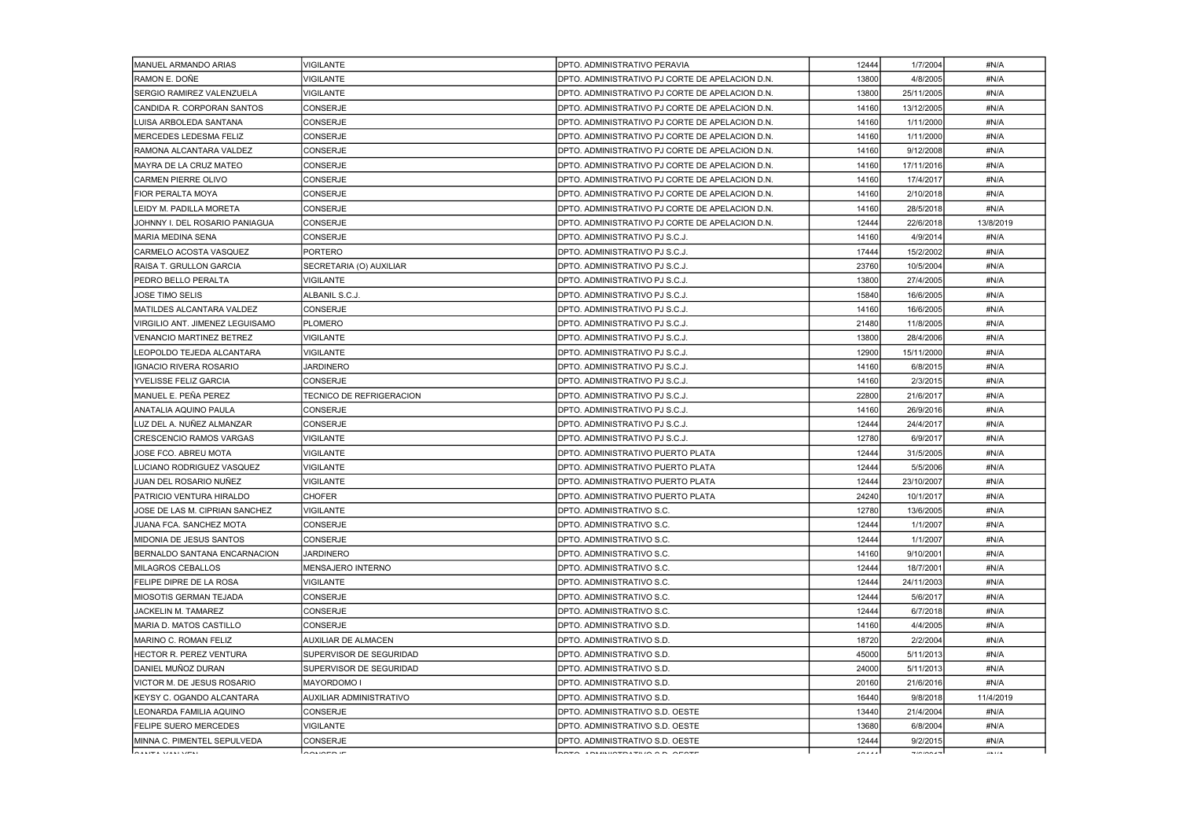| MANUEL ARMANDO ARIAS             | <b>VIGILANTE</b>                | <b>DPTO. ADMINISTRATIVO PERAVIA</b>             | 12444 | 1/7/2004   | #N/A      |
|----------------------------------|---------------------------------|-------------------------------------------------|-------|------------|-----------|
| RAMON E. DOÑE                    | <b>VIGILANTE</b>                | DPTO. ADMINISTRATIVO PJ CORTE DE APELACION D.N. | 13800 | 4/8/2005   | #N/A      |
| <b>SERGIO RAMIREZ VALENZUELA</b> | <b>VIGILANTE</b>                | DPTO. ADMINISTRATIVO PJ CORTE DE APELACION D.N. | 13800 | 25/11/2005 | #N/A      |
| CANDIDA R. CORPORAN SANTOS       | <b>CONSERJE</b>                 | DPTO. ADMINISTRATIVO PJ CORTE DE APELACION D.N. | 14160 | 13/12/2005 | #N/A      |
| LUISA ARBOLEDA SANTANA           | <b>CONSERJE</b>                 | DPTO. ADMINISTRATIVO PJ CORTE DE APELACION D.N. | 14160 | 1/11/2000  | #N/A      |
| MERCEDES LEDESMA FELIZ           | <b>CONSERJE</b>                 | DPTO. ADMINISTRATIVO PJ CORTE DE APELACION D.N. | 14160 | 1/11/2000  | #N/A      |
| RAMONA ALCANTARA VALDEZ          | CONSERJE                        | DPTO. ADMINISTRATIVO PJ CORTE DE APELACION D.N. | 14160 | 9/12/2008  | #N/A      |
| MAYRA DE LA CRUZ MATEO           | <b>CONSERJE</b>                 | DPTO. ADMINISTRATIVO PJ CORTE DE APELACION D.N. | 14160 | 17/11/2016 | #N/A      |
| ICARMEN PIERRE OLIVO             | <b>CONSERJE</b>                 | DPTO, ADMINISTRATIVO PJ CORTE DE APELACION D.N. | 14160 | 17/4/2017  | #N/A      |
| FIOR PERALTA MOYA                | <b>CONSERJE</b>                 | DPTO. ADMINISTRATIVO PJ CORTE DE APELACION D.N. | 14160 | 2/10/2018  | #N/A      |
| LEIDY M. PADILLA MORETA          | <b>CONSERJE</b>                 | DPTO. ADMINISTRATIVO PJ CORTE DE APELACION D.N. | 14160 | 28/5/2018  | #N/A      |
| JOHNNY I. DEL ROSARIO PANIAGUA   | <b>CONSERJE</b>                 | DPTO. ADMINISTRATIVO PJ CORTE DE APELACION D.N. | 12444 | 22/6/2018  | 13/8/2019 |
| IMARIA MEDINA SENA               | <b>CONSERJE</b>                 | DPTO. ADMINISTRATIVO PJ S.C.J.                  | 14160 | 4/9/2014   | #N/A      |
| CARMELO ACOSTA VASQUEZ           | PORTERO                         | DPTO. ADMINISTRATIVO PJ S.C.J.                  | 17444 | 15/2/2002  | #N/A      |
| RAISA T. GRULLON GARCIA          | SECRETARIA (O) AUXILIAR         | DPTO. ADMINISTRATIVO PJ S.C.J.                  | 23760 | 10/5/2004  | #N/A      |
| PEDRO BELLO PERALTA              | <b>VIGILANTE</b>                | DPTO. ADMINISTRATIVO PJ S.C.J.                  | 13800 | 27/4/2005  | #N/A      |
| <b>JOSE TIMO SELIS</b>           | ALBANIL S.C.J.                  | DPTO. ADMINISTRATIVO PJ S.C.J.                  | 15840 | 16/6/2005  | #N/A      |
| <b>MATILDES ALCANTARA VALDEZ</b> | <b>CONSERJE</b>                 | DPTO. ADMINISTRATIVO PJ S.C.J.                  | 14160 | 16/6/2005  | #N/A      |
| VIRGILIO ANT. JIMENEZ LEGUISAMO  | <b>PLOMERO</b>                  | DPTO. ADMINISTRATIVO PJ S.C.J.                  | 21480 | 11/8/2005  | #N/A      |
| <b>VENANCIO MARTINEZ BETREZ</b>  | <b>VIGILANTE</b>                | DPTO. ADMINISTRATIVO PJ S.C.J.                  | 13800 | 28/4/2006  | #N/A      |
| LEOPOLDO TEJEDA ALCANTARA        | VIGILANTE                       | DPTO. ADMINISTRATIVO PJ S.C.J.                  | 12900 | 15/11/2000 | #N/A      |
| IGNACIO RIVERA ROSARIO           | <b>JARDINERO</b>                | DPTO. ADMINISTRATIVO PJ S.C.J.                  | 14160 | 6/8/2015   | #N/A      |
| <b>YVELISSE FELIZ GARCIA</b>     | <b>CONSERJE</b>                 | DPTO. ADMINISTRATIVO PJ S.C.J.                  | 14160 | 2/3/2015   | #N/A      |
| MANUEL E. PEÑA PEREZ             | <b>TECNICO DE REFRIGERACION</b> | DPTO. ADMINISTRATIVO PJ S.C.J.                  | 22800 | 21/6/2017  | #N/A      |
| ANATALIA AQUINO PAULA            | <b>CONSERJE</b>                 | DPTO. ADMINISTRATIVO PJ S.C.J.                  | 14160 | 26/9/2016  | #N/A      |
| LUZ DEL A. NUÑEZ ALMANZAR        | <b>CONSERJE</b>                 | DPTO. ADMINISTRATIVO PJ S.C.J.                  | 12444 | 24/4/2017  | #N/A      |
| CRESCENCIO RAMOS VARGAS          | <b>VIGILANTE</b>                | DPTO. ADMINISTRATIVO PJ S.C.J.                  | 12780 | 6/9/2017   | #N/A      |
| JOSE FCO. ABREU MOTA             | <b>VIGILANTE</b>                | DPTO. ADMINISTRATIVO PUERTO PLATA               | 12444 | 31/5/2005  | #N/A      |
| LUCIANO RODRIGUEZ VASQUEZ        | <b>VIGILANTE</b>                | DPTO. ADMINISTRATIVO PUERTO PLATA               | 12444 | 5/5/2006   | #N/A      |
| JUAN DEL ROSARIO NUÑEZ           | <b>VIGILANTE</b>                | DPTO. ADMINISTRATIVO PUERTO PLATA               | 12444 | 23/10/2007 | #N/A      |
| <b>PATRICIO VENTURA HIRALDO</b>  | <b>CHOFER</b>                   | <b>IDPTO. ADMINISTRATIVO PUERTO PLATA</b>       | 24240 | 10/1/2017  | #N/A      |
| JOSE DE LAS M. CIPRIAN SANCHEZ   | VIGILANTE                       | DPTO. ADMINISTRATIVO S.C.                       | 12780 | 13/6/2005  | #N/A      |
| JUANA FCA. SANCHEZ MOTA          | <b>CONSERJE</b>                 | DPTO. ADMINISTRATIVO S.C.                       | 12444 | 1/1/2007   | #N/A      |
| IMIDONIA DE JESUS SANTOS         | <b>CONSERJE</b>                 | DPTO. ADMINISTRATIVO S.C.                       | 12444 | 1/1/2007   | #N/A      |
| BERNALDO SANTANA ENCARNACION     | <b>JARDINERO</b>                | DPTO, ADMINISTRATIVO S.C.                       | 14160 | 9/10/2001  | #N/A      |
| IMILAGROS CEBALLOS               | <b>MENSAJERO INTERNO</b>        | DPTO. ADMINISTRATIVO S.C.                       | 12444 | 18/7/2001  | #N/A      |
| FELIPE DIPRE DE LA ROSA          | VIGILANTE                       | DPTO. ADMINISTRATIVO S.C.                       | 12444 | 24/11/2003 | #N/A      |
| MIOSOTIS GERMAN TEJADA           | <b>CONSERJE</b>                 | DPTO. ADMINISTRATIVO S.C.                       | 12444 | 5/6/2017   | #N/A      |
| JACKELIN M. TAMAREZ              | <b>CONSERJE</b>                 | DPTO. ADMINISTRATIVO S.C.                       | 12444 | 6/7/2018   | #N/A      |
| IMARIA D. MATOS CASTILLO         | CONSERJE                        | DPTO. ADMINISTRATIVO S.D.                       | 14160 | 4/4/2005   | #N/A      |
| IMARINO C. ROMAN FELIZ           | AUXILIAR DE ALMACEN             | DPTO. ADMINISTRATIVO S.D.                       | 18720 | 2/2/2004   | #N/A      |
| IHECTOR R. PEREZ VENTURA         | SUPERVISOR DE SEGURIDAD         | DPTO. ADMINISTRATIVO S.D.                       | 45000 | 5/11/2013  | #N/A      |
| <b>JDANIEL MUÑOZ DURAN</b>       | SUPERVISOR DE SEGURIDAD         | DPTO. ADMINISTRATIVO S.D.                       | 24000 | 5/11/2013  | #N/A      |
| IVICTOR M. DE JESUS ROSARIO      | <b>MAYORDOMO I</b>              | DPTO. ADMINISTRATIVO S.D.                       | 20160 | 21/6/2016  | #N/A      |
| KEYSY C. OGANDO ALCANTARA        | AUXILIAR ADMINISTRATIVO         | DPTO. ADMINISTRATIVO S.D.                       | 16440 | 9/8/2018   | 11/4/2019 |
| ILEONARDA FAMILIA AQUINO         | <b>CONSERJE</b>                 | DPTO. ADMINISTRATIVO S.D. OESTE                 | 13440 | 21/4/2004  | #N/A      |
| <b>FELIPE SUERO MERCEDES</b>     | <b>VIGILANTE</b>                | DPTO. ADMINISTRATIVO S.D. OESTE                 | 13680 | 6/8/2004   | #N/A      |
| MINNA C. PIMENTEL SEPULVEDA      | <b>CONSERJE</b>                 | DPTO. ADMINISTRATIVO S.D. OESTE                 | 12444 | 9/2/2015   | #N/A      |
| التصب الدمعاء المصالحات          | $\sim$ $\sim$ $\sim$ $\sim$     | $\overline{\phantom{a}}$                        | .     | $-10001 -$ | 118.17.8  |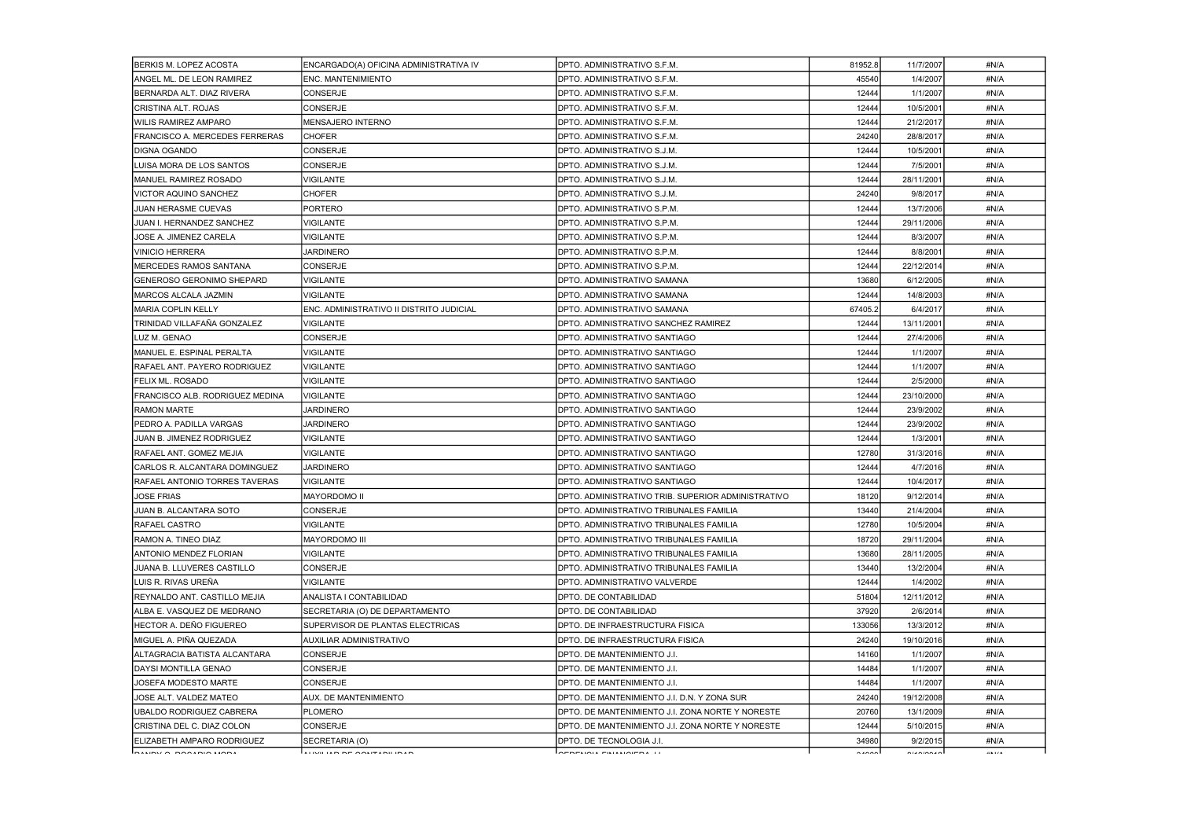| BERKIS M. LOPEZ ACOSTA               | ENCARGADO(A) OFICINA ADMINISTRATIVA IV   | DPTO. ADMINISTRATIVO S.F.M.                        | 81952.8              | 11/7/2007                                                   | #N/A     |
|--------------------------------------|------------------------------------------|----------------------------------------------------|----------------------|-------------------------------------------------------------|----------|
| ANGEL ML. DE LEON RAMIREZ            | ENC. MANTENIMIENTO                       | DPTO. ADMINISTRATIVO S.F.M.                        | 45540                | 1/4/2007                                                    | #N/A     |
| BERNARDA ALT. DIAZ RIVERA            | <b>CONSERJE</b>                          | DPTO. ADMINISTRATIVO S.F.M.                        | 12444                | 1/1/2007                                                    | #N/A     |
| CRISTINA ALT. ROJAS                  | <b>CONSERJE</b>                          | DPTO. ADMINISTRATIVO S.F.M.                        | 12444                | 10/5/2001                                                   | #N/A     |
| WILIS RAMIREZ AMPARO                 | <b>MENSAJERO INTERNO</b>                 | DPTO. ADMINISTRATIVO S.F.M.                        | 12444                | 21/2/2017                                                   | #N/A     |
| FRANCISCO A. MERCEDES FERRERAS       | <b>CHOFER</b>                            | <b>DPTO. ADMINISTRATIVO S.F.M.</b>                 | 24240                | 28/8/2017                                                   | #N/A     |
| DIGNA OGANDO                         | <b>CONSERJE</b>                          | DPTO. ADMINISTRATIVO S.J.M.                        | 12444                | 10/5/2001                                                   | #N/A     |
| LUISA MORA DE LOS SANTOS             | <b>CONSERJE</b>                          | DPTO. ADMINISTRATIVO S.J.M.                        | 12444                | 7/5/2001                                                    | #N/A     |
| <b>MANUEL RAMIREZ ROSADO</b>         | <b>VIGILANTE</b>                         | DPTO. ADMINISTRATIVO S.J.M.                        | 12444                | 28/11/2001                                                  | #N/A     |
| VICTOR AQUINO SANCHEZ                | CHOFER                                   | DPTO. ADMINISTRATIVO S.J.M.                        | 24240                | 9/8/2017                                                    | #N/A     |
| JUAN HERASME CUEVAS                  | <b>PORTERO</b>                           | DPTO. ADMINISTRATIVO S.P.M.                        | 12444                | 13/7/2006                                                   | #N/A     |
| JUAN I. HERNANDEZ SANCHEZ            | VIGILANTE                                | DPTO. ADMINISTRATIVO S.P.M.                        | 12444                | 29/11/2006                                                  | #N/A     |
| JOSE A. JIMENEZ CARELA               | VIGILANTE                                | DPTO. ADMINISTRATIVO S.P.M.                        | 12444                | 8/3/2007                                                    | #N/A     |
| <b>VINICIO HERRERA</b>               | <b>JARDINERO</b>                         | DPTO. ADMINISTRATIVO S.P.M.                        | 12444                | 8/8/2001                                                    | #N/A     |
| MERCEDES RAMOS SANTANA               | <b>CONSERJE</b>                          | DPTO. ADMINISTRATIVO S.P.M.                        | 12444                | 22/12/2014                                                  | #N/A     |
| <b>GENEROSO GERONIMO SHEPARD</b>     | <b>VIGILANTE</b>                         | DPTO. ADMINISTRATIVO SAMANA                        | 13680                | 6/12/2005                                                   | #N/A     |
| MARCOS ALCALA JAZMIN                 | VIGILANTE                                | DPTO. ADMINISTRATIVO SAMANA                        | 12444                | 14/8/2003                                                   | #N/A     |
| <b>MARIA COPLIN KELLY</b>            | ENC. ADMINISTRATIVO II DISTRITO JUDICIAL | <b>DPTO. ADMINISTRATIVO SAMANA</b>                 | 67405.2              | 6/4/2017                                                    | #N/A     |
| TRINIDAD VILLAFAÑA GONZALEZ          | VIGILANTE                                | DPTO, ADMINISTRATIVO SANCHEZ RAMIREZ               | 12444                | 13/11/2001                                                  | #N/A     |
| LUZ M. GENAO                         | <b>CONSERJE</b>                          | DPTO. ADMINISTRATIVO SANTIAGO                      | 12444                | 27/4/2006                                                   | #N/A     |
| MANUEL E. ESPINAL PERALTA            | <b>VIGILANTE</b>                         | DPTO. ADMINISTRATIVO SANTIAGO                      | 12444                | 1/1/2007                                                    | #N/A     |
| RAFAEL ANT. PAYERO RODRIGUEZ         | VIGILANTE                                | DPTO. ADMINISTRATIVO SANTIAGO                      | 12444                | 1/1/2007                                                    | #N/A     |
| FELIX ML. ROSADO                     | VIGILANTE                                | DPTO. ADMINISTRATIVO SANTIAGO                      | 12444                | 2/5/2000                                                    | #N/A     |
| FRANCISCO ALB. RODRIGUEZ MEDINA      | VIGILANTE                                | DPTO. ADMINISTRATIVO SANTIAGO                      | 12444                | 23/10/2000                                                  | #N/A     |
| <b>RAMON MARTE</b>                   | <b>JARDINERO</b>                         | <b>DPTO. ADMINISTRATIVO SANTIAGO</b>               | 12444                | 23/9/2002                                                   | #N/A     |
| PEDRO A. PADILLA VARGAS              | <b>JARDINERO</b>                         | DPTO. ADMINISTRATIVO SANTIAGO                      | 12444                | 23/9/2002                                                   | #N/A     |
| JUAN B. JIMENEZ RODRIGUEZ            | VIGILANTE                                | <b>DPTO. ADMINISTRATIVO SANTIAGO</b>               | 12444                | 1/3/2001                                                    | #N/A     |
| RAFAEL ANT. GOMEZ MEJIA              | VIGILANTE                                | DPTO. ADMINISTRATIVO SANTIAGO                      | 12780                | 31/3/2016                                                   | #N/A     |
| CARLOS R. ALCANTARA DOMINGUEZ        | JARDINERO                                | DPTO. ADMINISTRATIVO SANTIAGO                      | 12444                | 4/7/2016                                                    | #N/A     |
| <b>RAFAEL ANTONIO TORRES TAVERAS</b> | <b>VIGILANTE</b>                         | DPTO. ADMINISTRATIVO SANTIAGO                      | 12444                | 10/4/2017                                                   | #N/A     |
| <b>JOSE FRIAS</b>                    | <b>MAYORDOMO II</b>                      | DPTO. ADMINISTRATIVO TRIB. SUPERIOR ADMINISTRATIVO | 18120                | 9/12/2014                                                   | #N/A     |
| <b>JUAN B. ALCANTARA SOTO</b>        | <b>CONSERJE</b>                          | DPTO. ADMINISTRATIVO TRIBUNALES FAMILIA            | 13440                | 21/4/2004                                                   | #N/A     |
| RAFAEL CASTRO                        | <b>VIGILANTE</b>                         | DPTO. ADMINISTRATIVO TRIBUNALES FAMILIA            | 12780                | 10/5/2004                                                   | #N/A     |
| RAMON A. TINEO DIAZ                  | <b>MAYORDOMO III</b>                     | DPTO. ADMINISTRATIVO TRIBUNALES FAMILIA            | 18720                | 29/11/2004                                                  | #N/A     |
| ANTONIO MENDEZ FLORIAN               | <b>VIGILANTE</b>                         | IDPTO. ADMINISTRATIVO TRIBUNALES FAMILIA           | 13680                | 28/11/2005                                                  | #N/A     |
| JUANA B. LLUVERES CASTILLO           | CONSERJE                                 | DPTO. ADMINISTRATIVO TRIBUNALES FAMILIA            | 13440                | 13/2/2004                                                   | #N/A     |
| LUIS R. RIVAS UREÑA                  | <b>VIGILANTE</b>                         | DPTO. ADMINISTRATIVO VALVERDE                      | 12444                | 1/4/2002                                                    | #N/A     |
| REYNALDO ANT. CASTILLO MEJIA         | ANALISTA I CONTABILIDAD                  | DPTO. DE CONTABILIDAD                              | 51804                | 12/11/2012                                                  | #N/A     |
| IALBA E. VASQUEZ DE MEDRANO          | ISECRETARIA (O) DE DEPARTAMENTO          | DPTO. DE CONTABILIDAD                              | 37920                | 2/6/2014                                                    | #N/A     |
| HECTOR A. DEÑO FIGUEREO              | SUPERVISOR DE PLANTAS ELECTRICAS         | <b>DPTO. DE INFRAESTRUCTURA FISICA</b>             | 133056               | 13/3/2012                                                   | #N/A     |
| İMIGUEL A. PIÑA QUEZADA              | AUXILIAR ADMINISTRATIVO                  | DPTO. DE INFRAESTRUCTURA FISICA                    | 24240                | 19/10/2016                                                  | #N/A     |
| ALTAGRACIA BATISTA ALCANTARA         | <b>CONSERJE</b>                          | <b>DPTO. DE MANTENIMIENTO J.I.</b>                 | 14160                | 1/1/2007                                                    | #N/A     |
| DAYSI MONTILLA GENAO                 | <b>CONSERJE</b>                          | DPTO. DE MANTENIMIENTO J.I.                        | 14484                | 1/1/2007                                                    | #N/A     |
| JOSEFA MODESTO MARTE                 | <b>CONSERJE</b>                          | <b>DPTO. DE MANTENIMIENTO J.I.</b>                 | 14484                | 1/1/2007                                                    | #N/A     |
| JOSE ALT. VALDEZ MATEO               | <b>AUX. DE MANTENIMIENTO</b>             | DPTO. DE MANTENIMIENTO J.I. D.N. Y ZONA SUR        | 24240                | 19/12/2008                                                  | #N/A     |
| UBALDO RODRIGUEZ CABRERA             | PLOMERO                                  | DPTO. DE MANTENIMIENTO J.I. ZONA NORTE Y NORESTE   | 20760                | 13/1/2009                                                   | #N/A     |
| CRISTINA DEL C. DIAZ COLON           | <b>CONSERJE</b>                          | DPTO. DE MANTENIMIENTO J.I. ZONA NORTE Y NORESTE   | 12444                | 5/10/2015                                                   | #N/A     |
| ELIZABETH AMPARO RODRIGUEZ           | SECRETARIA (O)                           | DPTO. DE TECNOLOGIA J.I.                           | 34980                | 9/2/2015                                                    | #N/A     |
|                                      |                                          | laeneuou emittainen Li                             | $\sim$ $\sim$ $\sim$ | $\begin{array}{ccc}\n\cdots & \cdots & \cdots\n\end{array}$ | 118.17.8 |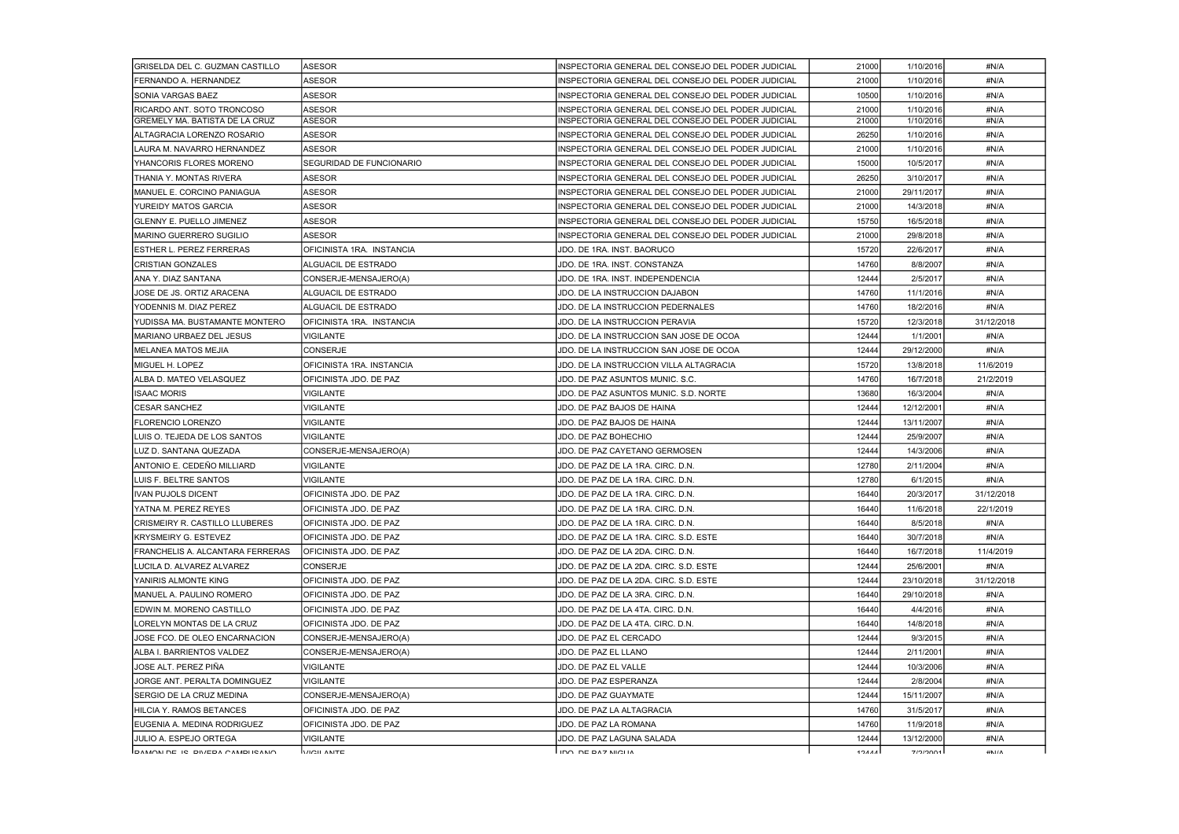| GRISELDA DEL C. GUZMAN CASTILLO       | <b>ASESOR</b>                 | INSPECTORIA GENERAL DEL CONSEJO DEL PODER JUDICIAL | 21000         | 1/10/2016  | #N/A          |
|---------------------------------------|-------------------------------|----------------------------------------------------|---------------|------------|---------------|
| FERNANDO A. HERNANDEZ                 | <b>ASESOR</b>                 | INSPECTORIA GENERAL DEL CONSEJO DEL PODER JUDICIAL | 21000         | 1/10/2016  | #N/A          |
| SONIA VARGAS BAEZ                     | ASESOR                        | NSPECTORIA GENERAL DEL CONSEJO DEL PODER JUDICIAL  | 10500         | 1/10/2016  | #N/A          |
| RICARDO ANT. SOTO TRONCOSO            | <b>ASESOR</b>                 | INSPECTORIA GENERAL DEL CONSEJO DEL PODER JUDICIAL | 21000         | 1/10/2016  | #N/A          |
| <b>GREMELY MA. BATISTA DE LA CRUZ</b> | ASESOR                        | INSPECTORIA GENERAL DEL CONSEJO DEL PODER JUDICIAL | 21000         | 1/10/2016  | #N/A          |
| ALTAGRACIA LORENZO ROSARIO            | <b>ASESOR</b>                 | INSPECTORIA GENERAL DEL CONSEJO DEL PODER JUDICIAL | 26250         | 1/10/2016  | #N/A          |
| LAURA M. NAVARRO HERNANDEZ            | <b>ASESOR</b>                 | INSPECTORIA GENERAL DEL CONSEJO DEL PODER JUDICIAL | 21000         | 1/10/2016  | #N/A          |
| YHANCORIS FLORES MORENO               | SEGURIDAD DE FUNCIONARIO      | INSPECTORIA GENERAL DEL CONSEJO DEL PODER JUDICIAL | 15000         | 10/5/2017  | #N/A          |
| THANIA Y. MONTAS RIVERA               | ASESOR                        | INSPECTORIA GENERAL DEL CONSEJO DEL PODER JUDICIAL | 26250         | 3/10/2017  | #N/A          |
| IMANUEL E. CORCINO PANIAGUA           | <b>ASESOR</b>                 | INSPECTORIA GENERAL DEL CONSEJO DEL PODER JUDICIAL | 21000         | 29/11/2017 | #N/A          |
| IYUREIDY MATOS GARCIA                 | <b>ASESOR</b>                 | INSPECTORIA GENERAL DEL CONSEJO DEL PODER JUDICIAL | 21000         | 14/3/2018  | #N/A          |
| <b>GLENNY E. PUELLO JIMENEZ</b>       | <b>ASESOR</b>                 | INSPECTORIA GENERAL DEL CONSEJO DEL PODER JUDICIAL | 15750         | 16/5/2018  | #N/A          |
| MARINO GUERRERO SUGILIO               | ASESOR                        | INSPECTORIA GENERAL DEL CONSEJO DEL PODER JUDICIAL | 21000         | 29/8/2018  | #N/A          |
| ESTHER L. PEREZ FERRERAS              | OFICINISTA 1RA. INSTANCIA     | JDO. DE 1RA. INST. BAORUCO                         | 15720         | 22/6/2017  | #N/A          |
| <b>CRISTIAN GONZALES</b>              | ALGUACIL DE ESTRADO           | JDO. DE 1RA. INST. CONSTANZA                       | 14760         | 8/8/2007   | #N/A          |
| ANA Y. DIAZ SANTANA                   | CONSERJE-MENSAJERO(A)         | JDO. DE 1RA. INST. INDEPENDENCIA                   | 12444         | 2/5/2017   | #N/A          |
| JOSE DE JS. ORTIZ ARACENA             | ALGUACIL DE ESTRADO           | <b>JDO. DE LA INSTRUCCION DAJABON</b>              | 14760         | 11/1/2016  | #N/A          |
| YODENNIS M. DIAZ PEREZ                | ALGUACIL DE ESTRADO           | JDO. DE LA INSTRUCCION PEDERNALES                  | 14760         | 18/2/2016  | #N/A          |
| YUDISSA MA. BUSTAMANTE MONTERO        | OFICINISTA 1RA. INSTANCIA     | JDO. DE LA INSTRUCCION PERAVIA                     | 15720         | 12/3/2018  | 31/12/2018    |
| IMARIANO URBAEZ DEL JESUS             | VIGILANTE                     | JDO. DE LA INSTRUCCION SAN JOSE DE OCOA            | 12444         | 1/1/2001   | #N/A          |
| IMELANEA MATOS MEJIA                  | CONSERJE                      | JDO. DE LA INSTRUCCION SAN JOSE DE OCOA            | 12444         | 29/12/2000 | #N/A          |
| MIGUEL H. LOPEZ                       | OFICINISTA 1RA. INSTANCIA     | JDO. DE LA INSTRUCCION VILLA ALTAGRACIA            | 15720         | 13/8/2018  | 11/6/2019     |
| ALBA D. MATEO VELASQUEZ               | OFICINISTA JDO. DE PAZ        | JDO. DE PAZ ASUNTOS MUNIC. S.C.                    | 14760         | 16/7/2018  | 21/2/2019     |
| <b>ISAAC MORIS</b>                    | <b>VIGILANTE</b>              | JDO. DE PAZ ASUNTOS MUNIC. S.D. NORTE              | 13680         | 16/3/2004  | #N/A          |
| <b>CESAR SANCHEZ</b>                  | <b>VIGILANTE</b>              | JDO. DE PAZ BAJOS DE HAINA                         | 12444         | 12/12/2001 | #N/A          |
| <b>FLORENCIO LORENZO</b>              | VIGILANTE                     | JDO. DE PAZ BAJOS DE HAINA                         | 12444         | 13/11/2007 | #N/A          |
| LUIS O. TEJEDA DE LOS SANTOS          | VIGILANTE                     | JDO. DE PAZ BOHECHIO                               | 12444         | 25/9/2007  | #N/A          |
| LUZ D. SANTANA QUEZADA                | CONSERJE-MENSAJERO(A)         | JDO. DE PAZ CAYETANO GERMOSEN                      | 12444         | 14/3/2006  | #N/A          |
| ANTONIO E. CEDEÑO MILLIARD            | VIGILANTE                     | JDO. DE PAZ DE LA 1RA. CIRC. D.N.                  | 12780         | 2/11/2004  | #N/A          |
| LUIS F. BELTRE SANTOS                 | <b>VIGILANTE</b>              | JDO. DE PAZ DE LA 1RA. CIRC. D.N.                  | 12780         | 6/1/2015   | #N/A          |
| <b>IVAN PUJOLS DICENT</b>             | IOFICINISTA JDO. DE PAZ       | JDO. DE PAZ DE LA 1RA. CIRC. D.N.                  | 16440         | 20/3/2017  | 31/12/2018    |
| YATNA M. PEREZ REYES                  | <b>OFICINISTA JDO. DE PAZ</b> | JDO. DE PAZ DE LA 1RA. CIRC. D.N.                  | 16440         | 11/6/2018  | 22/1/2019     |
| CRISMEIRY R. CASTILLO LLUBERES        | IOFICINISTA JDO. DE PAZ       | JDO. DE PAZ DE LA 1RA. CIRC. D.N.                  | 16440         | 8/5/2018   | #N/A          |
| KRYSMEIRY G. ESTEVEZ                  | OFICINISTA JDO. DE PAZ        | JDO. DE PAZ DE LA 1RA. CIRC. S.D. ESTE             | 16440         | 30/7/2018  | #N/A          |
| FRANCHELIS A. ALCANTARA FERRERAS      | OFICINISTA JDO. DE PAZ        | JDO. DE PAZ DE LA 2DA. CIRC. D.N.                  | 16440         | 16/7/2018  | 11/4/2019     |
| LUCILA D. ALVAREZ ALVAREZ             | CONSERJE                      | JDO. DE PAZ DE LA 2DA. CIRC. S.D. ESTE             | 12444         | 25/6/2001  | #N/A          |
| YANIRIS ALMONTE KING                  | OFICINISTA JDO. DE PAZ        | JDO. DE PAZ DE LA 2DA. CIRC. S.D. ESTE             | 12444         | 23/10/2018 | 31/12/2018    |
| <b>MANUEL A. PAULINO ROMERO</b>       | OFICINISTA JDO. DE PAZ        | JDO. DE PAZ DE LA 3RA. CIRC. D.N.                  | 16440         | 29/10/2018 | #N/A          |
| EDWIN M. MORENO CASTILLO              | OFICINISTA JDO. DE PAZ        | JDO. DE PAZ DE LA 4TA. CIRC. D.N.                  | 16440         | 4/4/2016   | #N/A          |
| LORELYN MONTAS DE LA CRUZ             | OFICINISTA JDO. DE PAZ        | JDO. DE PAZ DE LA 4TA. CIRC. D.N.                  | 16440         | 14/8/2018  | #N/A          |
| JOSE FCO. DE OLEO ENCARNACION         | (CONSERJE-MENSAJERO(A)        | JDO. DE PAZ EL CERCADO                             | 12444         | 9/3/2015   | #N/A          |
| ALBA I. BARRIENTOS VALDEZ             | CONSERJE-MENSAJERO(A)         | JDO. DE PAZ EL LLANO                               | 12444         | 2/11/2001  | #N/A          |
| JOSE ALT. PEREZ PIÑA                  | <b>VIGILANTE</b>              | JDO. DE PAZ EL VALLE                               | 12444         | 10/3/2006  | #N/A          |
| JORGE ANT. PERALTA DOMINGUEZ          | VIGILANTE                     | JDO. DE PAZ ESPERANZA                              | 12444         | 2/8/2004   | #N/A          |
| ISERGIO DE LA CRUZ MEDINA             | CONSERJE-MENSAJERO(A)         | JDO. DE PAZ GUAYMATE                               | 12444         | 15/11/2007 | #N/A          |
| HILCIA Y. RAMOS BETANCES              | IOFICINISTA JDO. DE PAZ       | JDO. DE PAZ LA ALTAGRACIA                          | 14760         | 31/5/2017  | #N/A          |
| EUGENIA A. MEDINA RODRIGUEZ           | OFICINISTA JDO. DE PAZ        | JDO. DE PAZ LA ROMANA                              | 14760         | 11/9/2018  | #N/A          |
| JULIO A. ESPEJO ORTEGA                | <b>VIGILANTE</b>              | JDO. DE PAZ LAGUNA SALADA                          | 12444         | 13/12/2000 | #N/A          |
| <b>DAMON DE 19 DIVEDA CAMBLICANO</b>  | <b>NAGILANTE</b>              | מוומות למס את מתו                                  | 10 <i>AAA</i> | 7/2/2001   | $HNI/\Lambda$ |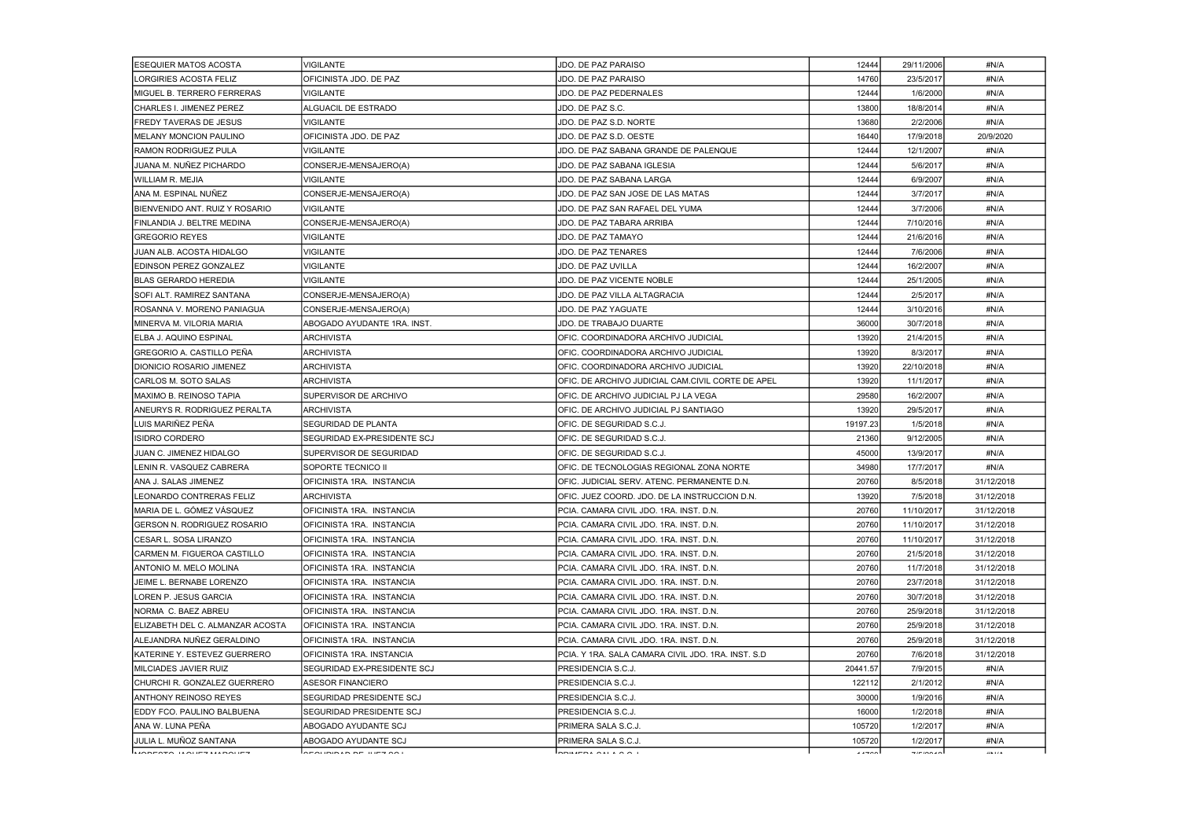| IESEQUIER MATOS ACOSTA              | <b>VIGILANTE</b>                  | JDO. DE PAZ PARAISO                                | 12444    | 29/11/2006   | #N/A       |
|-------------------------------------|-----------------------------------|----------------------------------------------------|----------|--------------|------------|
| ILORGIRIES ACOSTA FELIZ             | OFICINISTA JDO. DE PAZ            | JDO. DE PAZ PARAISO                                | 14760    | 23/5/2017    | #N/A       |
| IMIGUEL B. TERRERO FERRERAS         | <b>VIGILANTE</b>                  | JDO. DE PAZ PEDERNALES                             | 12444    | 1/6/2000     | #N/A       |
| CHARLES I. JIMENEZ PEREZ            | ALGUACIL DE ESTRADO               | JDO. DE PAZ S.C.                                   | 13800    | 18/8/2014    | #N/A       |
| <b>FREDY TAVERAS DE JESUS</b>       | VIGILANTE                         | JDO. DE PAZ S.D. NORTE                             | 13680    | 2/2/2006     | #N/A       |
| IMELANY MONCION PAULINO             | OFICINISTA JDO. DE PAZ            | JDO. DE PAZ S.D. OESTE                             | 16440    | 17/9/2018    | 20/9/2020  |
| RAMON RODRIGUEZ PULA                | <b>VIGILANTE</b>                  | JDO. DE PAZ SABANA GRANDE DE PALENQUE              | 12444    | 12/1/2007    | #N/A       |
| IJUANA M. NUÑEZ PICHARDO            | CONSERJE-MENSAJERO(A)             | JDO. DE PAZ SABANA IGLESIA                         | 12444    | 5/6/2017     | #N/A       |
| WILLIAM R. MEJIA                    | <b>VIGILANTE</b>                  | JDO. DE PAZ SABANA LARGA                           | 12444    | 6/9/2007     | #N/A       |
| ANA M. ESPINAL NUÑEZ                | CONSERJE-MENSAJERO(A)             | JDO. DE PAZ SAN JOSE DE LAS MATAS                  | 12444    | 3/7/2017     | #N/A       |
| BIENVENIDO ANT. RUIZ Y ROSARIO      | <b>VIGILANTE</b>                  | JDO. DE PAZ SAN RAFAEL DEL YUMA                    | 12444    | 3/7/2006     | #N/A       |
| FINLANDIA J. BELTRE MEDINA          | CONSERJE-MENSAJERO(A)             | JDO. DE PAZ TABARA ARRIBA                          | 12444    | 7/10/2016    | #N/A       |
| <b>GREGORIO REYES</b>               | <b>VIGILANTE</b>                  | JDO. DE PAZ TAMAYO                                 | 12444    | 21/6/2016    | #N/A       |
| JUAN ALB. ACOSTA HIDALGO            | <b>VIGILANTE</b>                  | JDO. DE PAZ TENARES                                | 12444    | 7/6/2006     | #N/A       |
| EDINSON PEREZ GONZALEZ              | <b>VIGILANTE</b>                  | JDO. DE PAZ UVILLA                                 | 12444    | 16/2/2007    | #N/A       |
| <b>IBLAS GERARDO HEREDIA</b>        | <b>VIGILANTE</b>                  | JDO. DE PAZ VICENTE NOBLE                          | 12444    | 25/1/2005    | #N/A       |
| SOFI ALT. RAMIREZ SANTANA           | CONSERJE-MENSAJERO(A)             | JDO. DE PAZ VILLA ALTAGRACIA                       | 12444    | 2/5/2017     | #N/A       |
| IROSANNA V. MORENO PANIAGUA         | CONSERJE-MENSAJERO(A)             | JDO. DE PAZ YAGUATE                                | 12444    | 3/10/2016    | #N/A       |
| IMINERVA M. VILORIA MARIA           | ABOGADO AYUDANTE 1RA. INST.       | JDO. DE TRABAJO DUARTE                             | 36000    | 30/7/2018    | #N/A       |
| <b>ELBA J. AQUINO ESPINAL</b>       | <b>ARCHIVISTA</b>                 | OFIC. COORDINADORA ARCHIVO JUDICIAL                | 13920    | 21/4/2015    | #N/A       |
| GREGORIO A. CASTILLO PEÑA           | <b>ARCHIVISTA</b>                 | OFIC. COORDINADORA ARCHIVO JUDICIAL                | 13920    | 8/3/2017     | #N/A       |
| DIONICIO ROSARIO JIMENEZ            | <b>ARCHIVISTA</b>                 | OFIC. COORDINADORA ARCHIVO JUDICIAL                | 13920    | 22/10/2018   | #N/A       |
| CARLOS M. SOTO SALAS                | <b>ARCHIVISTA</b>                 | OFIC. DE ARCHIVO JUDICIAL CAM.CIVIL CORTE DE APEL  | 13920    | 11/1/2017    | #N/A       |
| IMAXIMO B. REINOSO TAPIA            | SUPERVISOR DE ARCHIVO             | OFIC. DE ARCHIVO JUDICIAL PJ LA VEGA               | 29580    | 16/2/2007    | #N/A       |
| <b>ANEURYS R. RODRIGUEZ PERALTA</b> | <b>ARCHIVISTA</b>                 | OFIC. DE ARCHIVO JUDICIAL PJ SANTIAGO              | 13920    | 29/5/2017    | #N/A       |
| LUIS MARIÑEZ PEÑA                   | SEGURIDAD DE PLANTA               | OFIC. DE SEGURIDAD S.C.J.                          | 19197.23 | 1/5/2018     | #N/A       |
| IISIDRO CORDERO                     | SEGURIDAD EX-PRESIDENTE SCJ       | OFIC. DE SEGURIDAD S.C.J.                          | 21360    | 9/12/2005    | #N/A       |
| JUAN C. JIMENEZ HIDALGO             | SUPERVISOR DE SEGURIDAD           | OFIC. DE SEGURIDAD S.C.J.                          | 45000    | 13/9/2017    | #N/A       |
| LENIN R. VASQUEZ CABRERA            | SOPORTE TECNICO II                | OFIC. DE TECNOLOGIAS REGIONAL ZONA NORTE           | 34980    | 17/7/2017    | #N/A       |
| ANA J. SALAS JIMENEZ                | OFICINISTA 1RA. INSTANCIA         | OFIC, JUDICIAL SERV, ATENC, PERMANENTE D.N.        | 20760    | 8/5/2018     | 31/12/2018 |
| LEONARDO CONTRERAS FELIZ            | ARCHIVISTA                        | OFIC. JUEZ COORD. JDO. DE LA INSTRUCCION D.N.      | 13920    | 7/5/2018     | 31/12/2018 |
| MARIA DE L. GÓMEZ VÁSQUEZ           | OFICINISTA 1RA. INSTANCIA         | PCIA. CAMARA CIVIL JDO. 1RA. INST. D.N.            | 20760    | 11/10/2017   | 31/12/2018 |
| GERSON N. RODRIGUEZ ROSARIO         | OFICINISTA 1RA. INSTANCIA         | PCIA. CAMARA CIVIL JDO. 1RA. INST. D.N.            | 20760    | 11/10/2017   | 31/12/2018 |
| <b>CESAR L. SOSA LIRANZO</b>        | IOFICINISTA 1RA. INSTANCIA        | PCIA. CAMARA CIVIL JDO. 1RA. INST. D.N.            | 20760    | 11/10/2017   | 31/12/2018 |
| ICARMEN M. FIGUEROA CASTILLO        | OFICINISTA 1RA. INSTANCIA         | PCIA, CAMARA CIVIL JDO, 1RA, INST, D.N.            | 20760    | 21/5/2018    | 31/12/2018 |
| IANTONIO M. MELO MOLINA             | OFICINISTA 1RA. INSTANCIA         | PCIA. CAMARA CIVIL JDO. 1RA. INST. D.N.            | 20760    | 11/7/2018    | 31/12/2018 |
| JEIME L. BERNABE LORENZO            | OFICINISTA 1RA. INSTANCIA         | PCIA. CAMARA CIVIL JDO. 1RA. INST. D.N.            | 20760    | 23/7/2018    | 31/12/2018 |
| ILOREN P. JESUS GARCIA              | OFICINISTA 1RA. INSTANCIA         | PCIA. CAMARA CIVIL JDO. 1RA. INST. D.N.            | 20760    | 30/7/2018    | 31/12/2018 |
| INORMA C. BAEZ ABREU                | OFICINISTA 1RA. INSTANCIA         | PCIA. CAMARA CIVIL JDO. 1RA. INST. D.N.            | 20760    | 25/9/2018    | 31/12/2018 |
| IELIZABETH DEL C. ALMANZAR ACOSTA   | <b>IOFICINISTA 1RA. INSTANCIA</b> | PCIA. CAMARA CIVIL JDO. 1RA. INST. D.N.            | 20760    | 25/9/2018    | 31/12/2018 |
| IALEJANDRA NUÑEZ GERALDINO          | OFICINISTA 1RA. INSTANCIA         | PCIA. CAMARA CIVIL JDO. 1RA. INST. D.N.            | 20760    | 25/9/2018    | 31/12/2018 |
| IKATERINE Y. ESTEVEZ GUERRERO       | OFICINISTA 1RA. INSTANCIA         | PCIA. Y 1RA. SALA CAMARA CIVIL JDO. 1RA. INST. S.D | 20760    | 7/6/2018     | 31/12/2018 |
| IMILCIADES JAVIER RUIZ              | SEGURIDAD EX-PRESIDENTE SCJ       | PRESIDENCIA S.C.J.                                 | 20441.57 | 7/9/2015     | #N/A       |
| CHURCHI R. GONZALEZ GUERRERO        | ASESOR FINANCIERO                 | PRESIDENCIA S.C.J.                                 | 122112   | 2/1/2012     | #N/A       |
| IANTHONY REINOSO REYES              | SEGURIDAD PRESIDENTE SCJ          | PRESIDENCIA S.C.J.                                 | 30000    | 1/9/2016     | #N/A       |
| IEDDY FCO. PAULINO BALBUENA         | SEGURIDAD PRESIDENTE SCJ          | PRESIDENCIA S.C.J.                                 | 16000    | 1/2/2018     | #N/A       |
| IANA W. LUNA PEÑA                   | ABOGADO AYUDANTE SCJ              | PRIMERA SALA S.C.J.                                | 105720   | 1/2/2017     | #N/A       |
| IJULIA L. MUÑOZ SANTANA             | ABOGADO AYUDANTE SCJ              | PRIMERA SALA S.C.J.                                | 105720   | 1/2/2017     | #N/A       |
|                                     | lanainin in ne ilina aa i         | ----------------                                   | 11700    | $-1 - 10010$ | 118.17.8   |
|                                     |                                   |                                                    |          |              |            |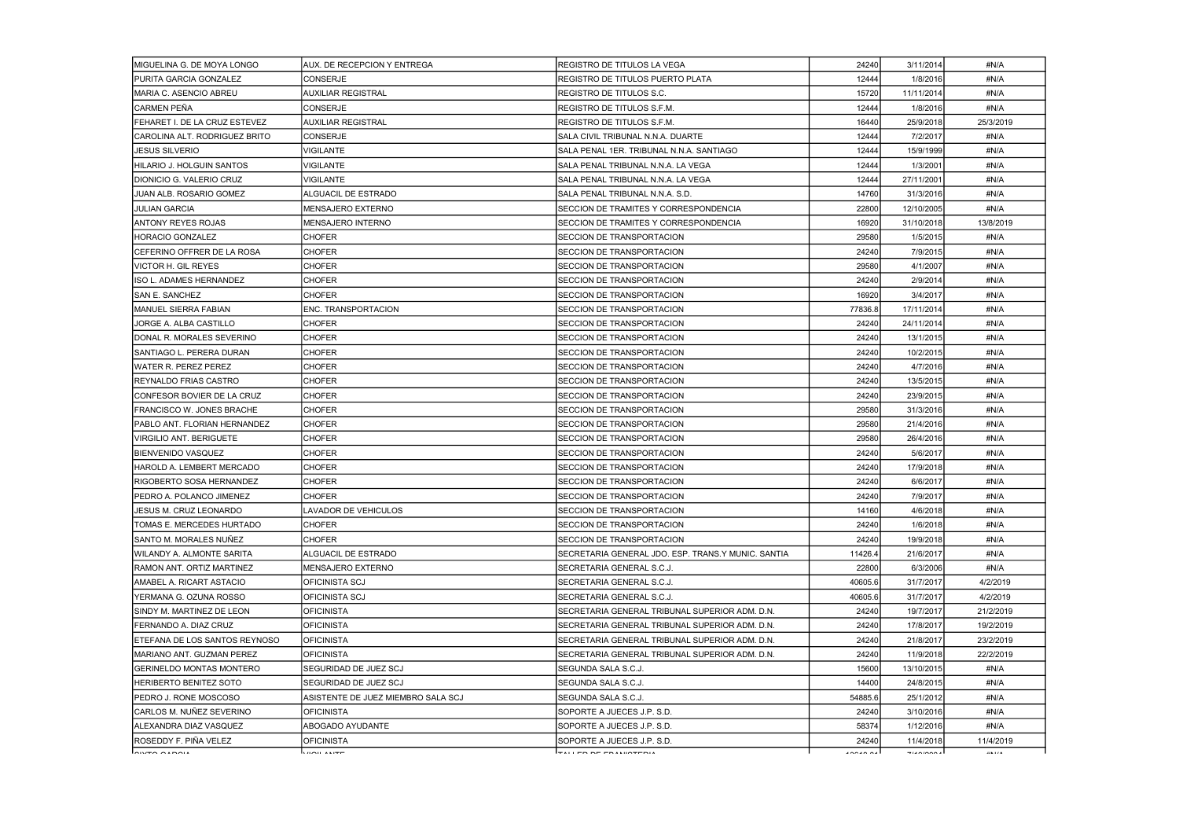| MIGUELINA G. DE MOYA LONGO           | AUX. DE RECEPCION Y ENTREGA        | REGISTRO DE TITULOS LA VEGA                        | 24240    | 3/11/2014   | #N/A      |
|--------------------------------------|------------------------------------|----------------------------------------------------|----------|-------------|-----------|
| PURITA GARCIA GONZALEZ               | <b>CONSERJE</b>                    | REGISTRO DE TITULOS PUERTO PLATA                   | 12444    | 1/8/2016    | #N/A      |
| MARIA C. ASENCIO ABREU               | <b>AUXILIAR REGISTRAL</b>          | REGISTRO DE TITULOS S.C.                           | 15720    | 11/11/2014  | #N/A      |
| ICARMEN PEÑA                         | <b>CONSERJE</b>                    | REGISTRO DE TITULOS S.F.M.                         | 12444    | 1/8/2016    | #N/A      |
| <b>FEHARET I. DE LA CRUZ ESTEVEZ</b> | <b>AUXILIAR REGISTRAL</b>          | REGISTRO DE TITULOS S.F.M.                         | 16440    | 25/9/2018   | 25/3/2019 |
| CAROLINA ALT. RODRIGUEZ BRITO        | <b>CONSERJE</b>                    | SALA CIVIL TRIBUNAL N.N.A. DUARTE                  | 12444    | 7/2/2017    | #N/A      |
| JESUS SILVERIO                       | VIGILANTE                          | SALA PENAL 1ER. TRIBUNAL N.N.A. SANTIAGO           | 12444    | 15/9/1999   | #N/A      |
| HILARIO J. HOLGUIN SANTOS            | VIGILANTE                          | SALA PENAL TRIBUNAL N.N.A. LA VEGA                 | 12444    | 1/3/2001    | #N/A      |
| IDIONICIO G. VALERIO CRUZ            | <b>VIGILANTE</b>                   | ISALA PENAL TRIBUNAL N.N.A. LA VEGA                | 12444    | 27/11/2001  | #N/A      |
| JUAN ALB. ROSARIO GOMEZ              | ALGUACIL DE ESTRADO                | SALA PENAL TRIBUNAL N.N.A. S.D.                    | 14760    | 31/3/2016   | #N/A      |
| <b>JULIAN GARCIA</b>                 | <b>MENSAJERO EXTERNO</b>           | SECCION DE TRAMITES Y CORRESPONDENCIA              | 22800    | 12/10/2005  | #N/A      |
| <b>ANTONY REYES ROJAS</b>            | MENSAJERO INTERNO                  | SECCION DE TRAMITES Y CORRESPONDENCIA              | 16920    | 31/10/2018  | 13/8/2019 |
| IHORACIO GONZALEZ                    | <b>CHOFER</b>                      | SECCION DE TRANSPORTACION                          | 29580    | 1/5/2015    | #N/A      |
| CEFERINO OFFRER DE LA ROSA           | <b>CHOFER</b>                      | <b>SECCION DE TRANSPORTACION</b>                   | 24240    | 7/9/2015    | #N/A      |
| VICTOR H. GIL REYES                  | <b>CHOFER</b>                      | SECCION DE TRANSPORTACION                          | 29580    | 4/1/2007    | #N/A      |
| ISO L. ADAMES HERNANDEZ              | <b>CHOFER</b>                      | SECCION DE TRANSPORTACION                          | 24240    | 2/9/2014    | #N/A      |
| ISAN E. SANCHEZ                      | <b>CHOFER</b>                      | SECCION DE TRANSPORTACION                          | 16920    | 3/4/2017    | #N/A      |
| <b>IMANUEL SIERRA FABIAN</b>         | <b>ENC. TRANSPORTACION</b>         | SECCION DE TRANSPORTACION                          | 77836.8  | 17/11/2014  | #N/A      |
| JORGE A. ALBA CASTILLO               | <b>CHOFER</b>                      | SECCION DE TRANSPORTACION                          | 24240    | 24/11/2014  | #N/A      |
| DONAL R. MORALES SEVERINO            | <b>CHOFER</b>                      | <b>SECCION DE TRANSPORTACION</b>                   | 24240    | 13/1/2015   | #N/A      |
| SANTIAGO L. PERERA DURAN             | <b>CHOFER</b>                      | SECCION DE TRANSPORTACION                          | 24240    | 10/2/2015   | #N/A      |
| lWATER R. PEREZ PEREZ                | <b>CHOFER</b>                      | <b>SECCION DE TRANSPORTACION</b>                   | 24240    | 4/7/2016    | #N/A      |
| IREYNALDO FRIAS CASTRO               | <b>CHOFER</b>                      | SECCION DE TRANSPORTACION                          | 24240    | 13/5/2015   | #N/A      |
| CONFESOR BOVIER DE LA CRUZ           | <b>CHOFER</b>                      | SECCION DE TRANSPORTACION                          | 24240    | 23/9/2015   | #N/A      |
| FRANCISCO W. JONES BRACHE            | <b>CHOFER</b>                      | SECCION DE TRANSPORTACION                          | 29580    | 31/3/2016   | #N/A      |
| PABLO ANT. FLORIAN HERNANDEZ         | <b>CHOFER</b>                      | SECCION DE TRANSPORTACION                          | 29580    | 21/4/2016   | #N/A      |
| <b>VIRGILIO ANT. BERIGUETE</b>       | <b>CHOFER</b>                      | SECCION DE TRANSPORTACION                          | 29580    | 26/4/2016   | #N/A      |
| BIENVENIDO VASQUEZ                   | <b>CHOFER</b>                      | <b>SECCION DE TRANSPORTACION</b>                   | 24240    | 5/6/2017    | #N/A      |
| HAROLD A. LEMBERT MERCADO            | <b>CHOFER</b>                      | SECCION DE TRANSPORTACION                          | 24240    | 17/9/2018   | #N/A      |
| <b>RIGOBERTO SOSA HERNANDEZ</b>      | <b>CHOFER</b>                      | <b>SECCION DE TRANSPORTACION</b>                   | 24240    | 6/6/2017    | #N/A      |
| <b>IPEDRO A. POLANCO JIMENEZ</b>     | <b>CHOFER</b>                      | <b>ISECCION DE TRANSPORTACION</b>                  | 24240    | 7/9/2017    | #N/A      |
| JESUS M. CRUZ LEONARDO               | LAVADOR DE VEHICULOS               | SECCION DE TRANSPORTACION                          | 14160    | 4/6/2018    | #N/A      |
| TOMAS E. MERCEDES HURTADO            | <b>CHOFER</b>                      | SECCION DE TRANSPORTACION                          | 24240    | 1/6/2018    | #N/A      |
| SANTO M. MORALES NUÑEZ               | <b>CHOFER</b>                      | SECCION DE TRANSPORTACION                          | 24240    | 19/9/2018   | #N/A      |
| IWILANDY A. ALMONTE SARITA           | ALGUACIL DE ESTRADO                | SECRETARIA GENERAL JDO. ESP. TRANS Y MUNIC. SANTIA | 11426.4  | 21/6/2017   | #N/A      |
| RAMON ANT. ORTIZ MARTINEZ            | MENSAJERO EXTERNO                  | SECRETARIA GENERAL S.C.J.                          | 22800    | 6/3/2006    | #N/A      |
| AMABEL A. RICART ASTACIO             | <b>OFICINISTA SCJ</b>              | SECRETARIA GENERAL S.C.J.                          | 40605.6  | 31/7/2017   | 4/2/2019  |
| YERMANA G. OZUNA ROSSO               | OFICINISTA SCJ                     | SECRETARIA GENERAL S.C.J.                          | 40605.6  | 31/7/2017   | 4/2/2019  |
| SINDY M. MARTINEZ DE LEON            | <b>OFICINISTA</b>                  | SECRETARIA GENERAL TRIBUNAL SUPERIOR ADM. D.N.     | 24240    | 19/7/2017   | 21/2/2019 |
| FERNANDO A. DIAZ CRUZ                | <b>OFICINISTA</b>                  | SECRETARIA GENERAL TRIBUNAL SUPERIOR ADM. D.N.     | 24240    | 17/8/2017   | 19/2/2019 |
| ETEFANA DE LOS SANTOS REYNOSO        | <b>OFICINISTA</b>                  | SECRETARIA GENERAL TRIBUNAL SUPERIOR ADM. D.N.     | 24240    | 21/8/2017   | 23/2/2019 |
| IMARIANO ANT. GUZMAN PEREZ           | <b>OFICINISTA</b>                  | SECRETARIA GENERAL TRIBUNAL SUPERIOR ADM. D.N.     | 24240    | 11/9/2018   | 22/2/2019 |
| IGERINELDO MONTAS MONTERO            | SEGURIDAD DE JUEZ SCJ              | SEGUNDA SALA S.C.J.                                | 15600    | 13/10/2015  | #N/A      |
| IHERIBERTO BENITEZ SOTO              | SEGURIDAD DE JUEZ SCJ              | SEGUNDA SALA S.C.J.                                | 14400    | 24/8/2015   | #N/A      |
| PEDRO J. RONE MOSCOSO                | ASISTENTE DE JUEZ MIEMBRO SALA SCJ | SEGUNDA SALA S.C.J.                                | 54885.6  | 25/1/2012   | #N/A      |
| ICARLOS M. NUÑEZ SEVERINO            | <b>OFICINISTA</b>                  | SOPORTE A JUECES J.P. S.D.                         | 24240    | 3/10/2016   | #N/A      |
| IALEXANDRA DIAZ VASQUEZ              | ABOGADO AYUDANTE                   | SOPORTE A JUECES J.P. S.D.                         | 58374    | 1/12/2016   | #N/A      |
| ROSEDDY F. PIÑA VELEZ                | <b>OFICINISTA</b>                  | SOPORTE A JUECES J.P. S.D.                         | 24240    | 11/4/2018   | 11/4/2019 |
| <u>Iomeo ospois</u>                  | صعيبت تتمميا                       | leached de edaiuseedia                             | انممتممت | التمممنميند | 118.17.8  |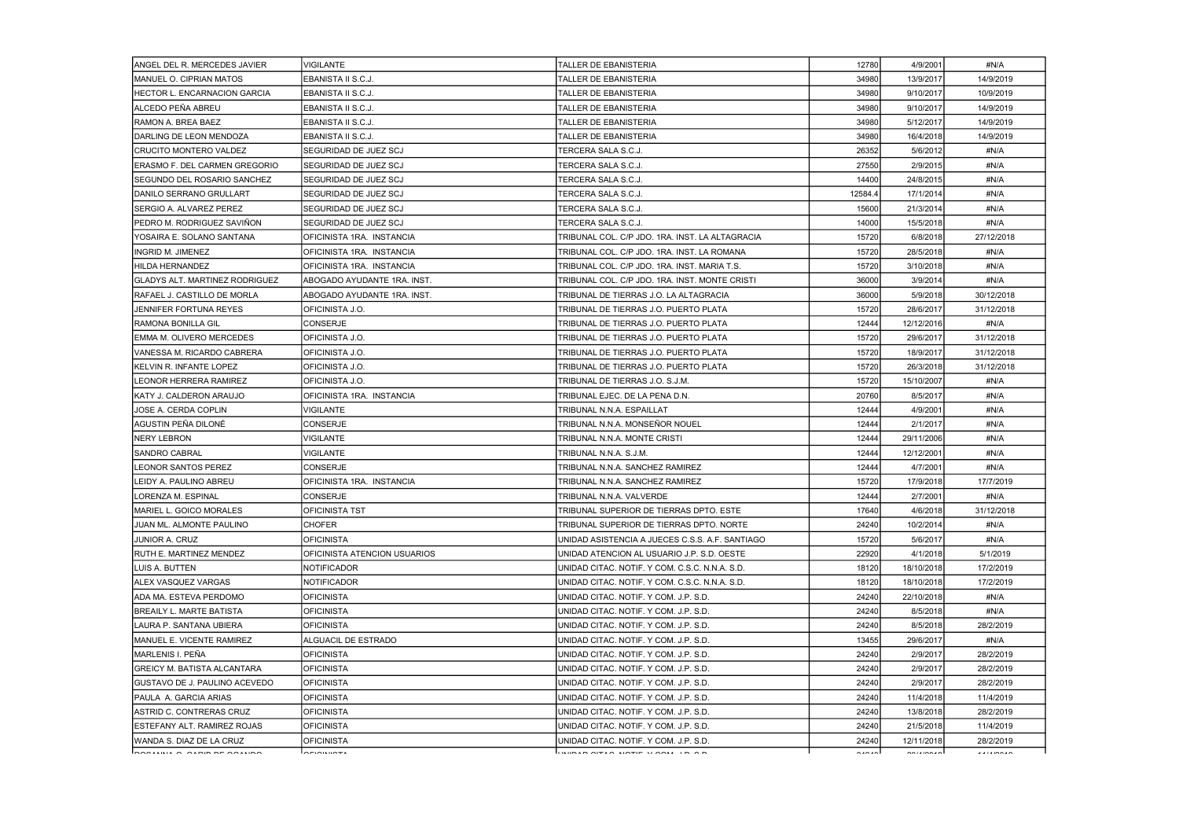| ANGEL DEL R. MERCEDES JAVIER          | <b>VIGILANTE</b>             | TALLER DE EBANISTERIA                           | 12780   | 4/9/2001                                                                                                                                                                                                                                                                                                                                                                                                                                                      | #N/A       |
|---------------------------------------|------------------------------|-------------------------------------------------|---------|---------------------------------------------------------------------------------------------------------------------------------------------------------------------------------------------------------------------------------------------------------------------------------------------------------------------------------------------------------------------------------------------------------------------------------------------------------------|------------|
| IMANUEL O. CIPRIAN MATOS              | EBANISTA II S.C.J.           | TALLER DE EBANISTERIA                           | 34980   | 13/9/2017                                                                                                                                                                                                                                                                                                                                                                                                                                                     | 14/9/2019  |
| HECTOR L. ENCARNACION GARCIA          | EBANISTA II S.C.J.           | TALLER DE EBANISTERIA                           | 34980   | 9/10/2017                                                                                                                                                                                                                                                                                                                                                                                                                                                     | 10/9/2019  |
| ALCEDO PEÑA ABREU                     | EBANISTA II S.C.J.           | TALLER DE EBANISTERIA                           | 34980   | 9/10/2017                                                                                                                                                                                                                                                                                                                                                                                                                                                     | 14/9/2019  |
| IRAMON A. BREA BAEZ                   | EBANISTA II S.C.J.           | TALLER DE EBANISTERIA                           | 34980   | 5/12/2017                                                                                                                                                                                                                                                                                                                                                                                                                                                     | 14/9/2019  |
| DARLING DE LEON MENDOZA               | EBANISTA II S.C.J.           | TALLER DE EBANISTERIA                           | 34980   | 16/4/2018                                                                                                                                                                                                                                                                                                                                                                                                                                                     | 14/9/2019  |
| <b>ICRUCITO MONTERO VALDEZ</b>        | SEGURIDAD DE JUEZ SCJ        | TERCERA SALA S.C.J.                             | 26352   | 5/6/2012                                                                                                                                                                                                                                                                                                                                                                                                                                                      | #N/A       |
| IERASMO F. DEL CARMEN GREGORIO        | SEGURIDAD DE JUEZ SCJ        | TERCERA SALA S.C.J.                             | 27550   | 2/9/2015                                                                                                                                                                                                                                                                                                                                                                                                                                                      | #N/A       |
| ISEGUNDO DEL ROSARIO SANCHEZ          | ISEGURIDAD DE JUEZ SCJ       | TERCERA SALA S.C.J.                             | 14400   | 24/8/2015                                                                                                                                                                                                                                                                                                                                                                                                                                                     | #N/A       |
| IDANILO SERRANO GRULLART              | SEGURIDAD DE JUEZ SCJ        | TERCERA SALA S.C.J.                             | 12584.4 | 17/1/2014                                                                                                                                                                                                                                                                                                                                                                                                                                                     | #N/A       |
| SERGIO A. ALVAREZ PEREZ               | SEGURIDAD DE JUEZ SCJ        | TERCERA SALA S.C.J.                             | 15600   | 21/3/2014                                                                                                                                                                                                                                                                                                                                                                                                                                                     | #N/A       |
| IPEDRO M. RODRIGUEZ SAVIÑON           | SEGURIDAD DE JUEZ SCJ        | TERCERA SALA S.C.J.                             | 14000   | 15/5/2018                                                                                                                                                                                                                                                                                                                                                                                                                                                     | #N/A       |
| YOSAIRA E. SOLANO SANTANA             | OFICINISTA 1RA. INSTANCIA    | TRIBUNAL COL. C/P JDO. 1RA. INST. LA ALTAGRACIA | 15720   | 6/8/2018                                                                                                                                                                                                                                                                                                                                                                                                                                                      | 27/12/2018 |
| IINGRID M. JIMENEZ                    | IOFICINISTA 1RA. INSTANCIA   | TRIBUNAL COL. C/P JDO. 1RA. INST. LA ROMANA     | 15720   | 28/5/2018                                                                                                                                                                                                                                                                                                                                                                                                                                                     | #N/A       |
| HILDA HERNANDEZ                       | OFICINISTA 1RA. INSTANCIA    | TRIBUNAL COL. C/P JDO. 1RA. INST. MARIA T.S.    | 15720   | 3/10/2018                                                                                                                                                                                                                                                                                                                                                                                                                                                     | #N/A       |
| GLADYS ALT. MARTINEZ RODRIGUEZ        | ABOGADO AYUDANTE 1RA. INST.  | TRIBUNAL COL. C/P JDO. 1RA. INST. MONTE CRISTI  | 36000   | 3/9/2014                                                                                                                                                                                                                                                                                                                                                                                                                                                      | #N/A       |
| IRAFAEL J. CASTILLO DE MORLA          | ABOGADO AYUDANTE 1RA. INST.  | TRIBUNAL DE TIERRAS J.O. LA ALTAGRACIA          | 36000   | 5/9/2018                                                                                                                                                                                                                                                                                                                                                                                                                                                      | 30/12/2018 |
| JENNIFER FORTUNA REYES                | OFICINISTA J.O.              | TRIBUNAL DE TIERRAS J.O. PUERTO PLATA           | 15720   | 28/6/2017                                                                                                                                                                                                                                                                                                                                                                                                                                                     | 31/12/2018 |
| RAMONA BONILLA GIL                    | CONSERJE                     | TRIBUNAL DE TIERRAS J.O. PUERTO PLATA           | 12444   | 12/12/2016                                                                                                                                                                                                                                                                                                                                                                                                                                                    | #N/A       |
| IEMMA M. OLIVERO MERCEDES             | OFICINISTA J.O.              | TRIBUNAL DE TIERRAS J.O. PUERTO PLATA           | 15720   | 29/6/2017                                                                                                                                                                                                                                                                                                                                                                                                                                                     | 31/12/2018 |
| IVANESSA M. RICARDO CABRERA           | OFICINISTA J.O.              | TRIBUNAL DE TIERRAS J.O. PUERTO PLATA           | 15720   | 18/9/2017                                                                                                                                                                                                                                                                                                                                                                                                                                                     | 31/12/2018 |
| IKELVIN R. INFANTE LOPEZ              | OFICINISTA J.O.              | TRIBUNAL DE TIERRAS J.O. PUERTO PLATA           | 15720   | 26/3/2018                                                                                                                                                                                                                                                                                                                                                                                                                                                     | 31/12/2018 |
| LEONOR HERRERA RAMIREZ                | IOFICINISTA J.O.             | TRIBUNAL DE TIERRAS J.O. S.J.M.                 | 15720   | 15/10/2007                                                                                                                                                                                                                                                                                                                                                                                                                                                    | #N/A       |
| IKATY J. CALDERON ARAUJO              | OFICINISTA 1RA. INSTANCIA    | TRIBUNAL EJEC. DE LA PENA D.N.                  | 20760   | 8/5/2017                                                                                                                                                                                                                                                                                                                                                                                                                                                      | #N/A       |
| JOSE A. CERDA COPLIN                  | <b>VIGILANTE</b>             | TRIBUNAL N.N.A. ESPAILLAT                       | 12444   | 4/9/2001                                                                                                                                                                                                                                                                                                                                                                                                                                                      | #N/A       |
| AGUSTIN PEÑA DILONÉ                   | <b>CONSERJE</b>              | TRIBUNAL N.N.A. MONSEÑOR NOUEL                  | 12444   | 2/1/2017                                                                                                                                                                                                                                                                                                                                                                                                                                                      | #N/A       |
| <b>I</b> NERY LEBRON                  | VIGILANTE                    | TRIBUNAL N.N.A. MONTE CRISTI                    | 12444   | 29/11/2006                                                                                                                                                                                                                                                                                                                                                                                                                                                    | #N/A       |
| SANDRO CABRAL                         | <b>VIGILANTE</b>             | TRIBUNAL N.N.A. S.J.M.                          | 12444   | 12/12/2001                                                                                                                                                                                                                                                                                                                                                                                                                                                    | #N/A       |
| LEONOR SANTOS PEREZ                   | CONSERJE                     | TRIBUNAL N.N.A. SANCHEZ RAMIREZ                 | 12444   | 4/7/2001                                                                                                                                                                                                                                                                                                                                                                                                                                                      | #N/A       |
| LEIDY A. PAULINO ABREU                | OFICINISTA 1RA. INSTANCIA    | TRIBUNAL N.N.A. SANCHEZ RAMIREZ                 | 15720   | 17/9/2018                                                                                                                                                                                                                                                                                                                                                                                                                                                     | 17/7/2019  |
| LORENZA M. ESPINAL                    | CONSERJE                     | TRIBUNAL N.N.A. VALVERDE                        | 12444   | 2/7/2001                                                                                                                                                                                                                                                                                                                                                                                                                                                      | #N/A       |
| MARIEL L. GOICO MORALES               | <b>OFICINISTA TST</b>        | TRIBUNAL SUPERIOR DE TIERRAS DPTO. ESTE         | 17640   | 4/6/2018                                                                                                                                                                                                                                                                                                                                                                                                                                                      | 31/12/2018 |
| IJUAN ML. ALMONTE PAULINO             | <b>CHOFER</b>                | TRIBUNAL SUPERIOR DE TIERRAS DPTO, NORTE        | 24240   | 10/2/2014                                                                                                                                                                                                                                                                                                                                                                                                                                                     | #N/A       |
| JUNIOR A. CRUZ                        | <b>OFICINISTA</b>            | UNIDAD ASISTENCIA A JUECES C.S.S. A.F. SANTIAGO | 15720   | 5/6/2017                                                                                                                                                                                                                                                                                                                                                                                                                                                      | #N/A       |
| <b>IRUTH E. MARTINEZ MENDEZ</b>       | OFICINISTA ATENCION USUARIOS | UNIDAD ATENCION AL USUARIO J.P. S.D. OESTE      | 22920   | 4/1/2018                                                                                                                                                                                                                                                                                                                                                                                                                                                      | 5/1/2019   |
| ILUIS A. BUTTEN                       | <b>NOTIFICADOR</b>           | UNIDAD CITAC, NOTIF, Y COM, C.S.C. N.N.A. S.D.  | 18120   | 18/10/2018                                                                                                                                                                                                                                                                                                                                                                                                                                                    | 17/2/2019  |
| <b>ALEX VASQUEZ VARGAS</b>            | <b>NOTIFICADOR</b>           | UNIDAD CITAC. NOTIF. Y COM. C.S.C. N.N.A. S.D.  | 18120   | 18/10/2018                                                                                                                                                                                                                                                                                                                                                                                                                                                    | 17/2/2019  |
| IADA MA. ESTEVA PERDOMO               | <b>OFICINISTA</b>            | UNIDAD CITAC, NOTIF, Y COM, J.P. S.D.           | 24240   | 22/10/2018                                                                                                                                                                                                                                                                                                                                                                                                                                                    | #N/A       |
| IBREAILY L. MARTE BATISTA             | <b>OFICINISTA</b>            | UNIDAD CITAC, NOTIF, Y COM, J.P. S.D.           | 24240   | 8/5/2018                                                                                                                                                                                                                                                                                                                                                                                                                                                      | #N/A       |
| ILAURA P. SANTANA UBIERA              | <b>OFICINISTA</b>            | UNIDAD CITAC. NOTIF. Y COM. J.P. S.D.           | 24240   | 8/5/2018                                                                                                                                                                                                                                                                                                                                                                                                                                                      | 28/2/2019  |
| IMANUEL E. VICENTE RAMIREZ            | ALGUACIL DE ESTRADO          | UNIDAD CITAC. NOTIF. Y COM. J.P. S.D.           | 13455   | 29/6/2017                                                                                                                                                                                                                                                                                                                                                                                                                                                     | #N/A       |
| MARLENIS I. PEÑA                      | <b>OFICINISTA</b>            | UNIDAD CITAC. NOTIF. Y COM. J.P. S.D.           | 24240   | 2/9/2017                                                                                                                                                                                                                                                                                                                                                                                                                                                      | 28/2/2019  |
| IGREICY M. BATISTA ALCANTARA          | <b>OFICINISTA</b>            | UNIDAD CITAC. NOTIF. Y COM. J.P. S.D.           | 24240   | 2/9/2017                                                                                                                                                                                                                                                                                                                                                                                                                                                      | 28/2/2019  |
| <b>IGUSTAVO DE J. PAULINO ACEVEDO</b> | <b>OFICINISTA</b>            | UNIDAD CITAC. NOTIF. Y COM. J.P. S.D.           | 24240   | 2/9/2017                                                                                                                                                                                                                                                                                                                                                                                                                                                      | 28/2/2019  |
| <b>IPAULA A. GARCIA ARIAS</b>         | <b>OFICINISTA</b>            | UNIDAD CITAC. NOTIF. Y COM. J.P. S.D.           | 24240   | 11/4/2018                                                                                                                                                                                                                                                                                                                                                                                                                                                     | 11/4/2019  |
| IASTRID C. CONTRERAS CRUZ             | IOFICINISTA                  | UNIDAD CITAC, NOTIF, Y COM, J.P. S.D.           | 24240   | 13/8/2018                                                                                                                                                                                                                                                                                                                                                                                                                                                     | 28/2/2019  |
| IESTEFANY ALT. RAMIREZ ROJAS          | <b> OFICINISTA</b>           | UNIDAD CITAC. NOTIF. Y COM. J.P. S.D.           | 24240   | 21/5/2018                                                                                                                                                                                                                                                                                                                                                                                                                                                     | 11/4/2019  |
| WANDA S. DIAZ DE LA CRUZ              | <b>OFICINISTA</b>            | UNIDAD CITAC, NOTIF, Y COM, J.P. S.D.           | 24240   | 12/11/2018                                                                                                                                                                                                                                                                                                                                                                                                                                                    | 28/2/2019  |
| lannium a niais ar noiusn             | <u>  ariaitiiatt</u>         | lininan oltan sintit vinna in on                | امتمنم  | $\begin{array}{c}\n\sqrt{2} \\ \sqrt{2} \\ \sqrt{2} \\ \sqrt{2} \\ \sqrt{2} \\ \sqrt{2} \\ \sqrt{2} \\ \sqrt{2} \\ \sqrt{2} \\ \sqrt{2} \\ \sqrt{2} \\ \sqrt{2} \\ \sqrt{2} \\ \sqrt{2} \\ \sqrt{2} \\ \sqrt{2} \\ \sqrt{2} \\ \sqrt{2} \\ \sqrt{2} \\ \sqrt{2} \\ \sqrt{2} \\ \sqrt{2} \\ \sqrt{2} \\ \sqrt{2} \\ \sqrt{2} \\ \sqrt{2} \\ \sqrt{2} \\ \sqrt{2} \\ \sqrt{2} \\ \sqrt{2} \\ \sqrt{2} \\ \sqrt{2} \\ \sqrt{2} \\ \sqrt{2} \\ \sqrt{2} \\ \sqrt$ | 1.11100100 |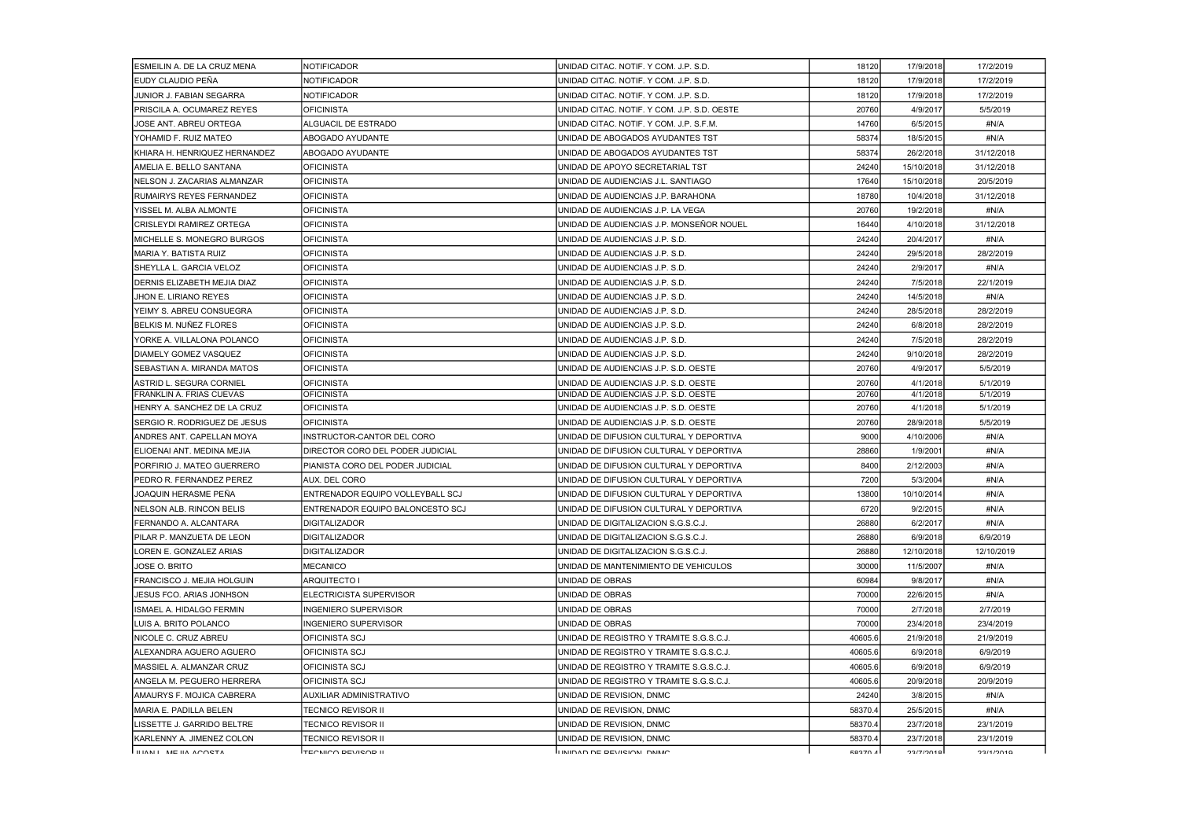| ESMEILIN A. DE LA CRUZ MENA   | <b>NOTIFICADOR</b>                      | UNIDAD CITAC. NOTIF. Y COM. J.P. S.D.       | 18120          | 17/9/2018  | 17/2/2019  |
|-------------------------------|-----------------------------------------|---------------------------------------------|----------------|------------|------------|
| EUDY CLAUDIO PEÑA             | <b>NOTIFICADOR</b>                      | UNIDAD CITAC. NOTIF. Y COM. J.P. S.D.       | 18120          | 17/9/2018  | 17/2/2019  |
| JUNIOR J. FABIAN SEGARRA      | NOTIFICADOR                             | UNIDAD CITAC. NOTIF. Y COM. J.P. S.D.       | 18120          | 17/9/2018  | 17/2/2019  |
| PRISCILA A. OCUMAREZ REYES    | <b>OFICINISTA</b>                       | UNIDAD CITAC. NOTIF. Y COM. J.P. S.D. OESTE | 20760          | 4/9/2017   | 5/5/2019   |
| JOSE ANT. ABREU ORTEGA        | ALGUACIL DE ESTRADO                     | UNIDAD CITAC. NOTIF. Y COM. J.P. S.F.M.     | 14760          | 6/5/2015   | #N/A       |
| YOHAMID F. RUIZ MATEO         | ABOGADO AYUDANTE                        | UNIDAD DE ABOGADOS AYUDANTES TST            | 58374          | 18/5/2015  | #N/A       |
| KHIARA H. HENRIQUEZ HERNANDEZ | <b>ABOGADO AYUDANTE</b>                 | UNIDAD DE ABOGADOS AYUDANTES TST            | 58374          | 26/2/2018  | 31/12/2018 |
| IAMELIA E. BELLO SANTANA      | IOFICINISTA                             | UNIDAD DE APOYO SECRETARIAL TST             | 24240          | 15/10/2018 | 31/12/2018 |
| INELSON J. ZACARIAS ALMANZAR  | <b>OFICINISTA</b>                       | UNIDAD DE AUDIENCIAS J.L. SANTIAGO          | 17640          | 15/10/2018 | 20/5/2019  |
| RUMAIRYS REYES FERNANDEZ      | <b>OFICINISTA</b>                       | UNIDAD DE AUDIENCIAS J.P. BARAHONA          | 18780          | 10/4/2018  | 31/12/2018 |
| YISSEL M. ALBA ALMONTE        | <b>OFICINISTA</b>                       | UNIDAD DE AUDIENCIAS J.P. LA VEGA           | 20760          | 19/2/2018  | #N/A       |
| CRISLEYDI RAMIREZ ORTEGA      | <b>OFICINISTA</b>                       | UNIDAD DE AUDIENCIAS J.P. MONSEÑOR NOUEL    | 16440          | 4/10/2018  | 31/12/2018 |
| IMICHELLE S. MONEGRO BURGOS   | <b>OFICINISTA</b>                       | UNIDAD DE AUDIENCIAS J.P. S.D.              | 24240          | 20/4/2017  | #N/A       |
| IMARIA Y. BATISTA RUIZ        | <b>OFICINISTA</b>                       | UNIDAD DE AUDIENCIAS J.P. S.D.              | 24240          | 29/5/2018  | 28/2/2019  |
| SHEYLLA L. GARCIA VELOZ       | <b>OFICINISTA</b>                       | UNIDAD DE AUDIENCIAS J.P. S.D.              | 24240          | 2/9/2017   | #N/A       |
| DERNIS ELIZABETH MEJIA DIAZ   | <b>OFICINISTA</b>                       | UNIDAD DE AUDIENCIAS J.P. S.D.              | 24240          | 7/5/2018   | 22/1/2019  |
| JHON E. LIRIANO REYES         | OFICINISTA                              | UNIDAD DE AUDIENCIAS J.P. S.D.              | 24240          | 14/5/2018  | #N/A       |
| IYEIMY S. ABREU CONSUEGRA     | <b>OFICINISTA</b>                       | UNIDAD DE AUDIENCIAS J.P. S.D.              | 24240          | 28/5/2018  | 28/2/2019  |
| BELKIS M. NUÑEZ FLORES        | <b>OFICINISTA</b>                       | UNIDAD DE AUDIENCIAS J.P. S.D.              | 24240          | 6/8/2018   | 28/2/2019  |
| YORKE A. VILLALONA POLANCO    | <b>OFICINISTA</b>                       | UNIDAD DE AUDIENCIAS J.P. S.D.              | 24240          | 7/5/2018   | 28/2/2019  |
| DIAMELY GOMEZ VASQUEZ         | <b>OFICINISTA</b>                       | UNIDAD DE AUDIENCIAS J.P. S.D.              | 24240          | 9/10/2018  | 28/2/2019  |
| SEBASTIAN A. MIRANDA MATOS    | <b>OFICINISTA</b>                       | UNIDAD DE AUDIENCIAS J.P. S.D. OESTE        | 20760          | 4/9/2017   | 5/5/2019   |
| ASTRID L. SEGURA CORNIEL      | <b>OFICINISTA</b>                       | UNIDAD DE AUDIENCIAS J.P. S.D. OESTE        | 20760          | 4/1/2018   | 5/1/2019   |
| FRANKLIN A. FRIAS CUEVAS      | <b>OFICINISTA</b>                       | UNIDAD DE AUDIENCIAS J.P. S.D. OESTE        | 20760          | 4/1/2018   | 5/1/2019   |
| HENRY A. SANCHEZ DE LA CRUZ   | <b>OFICINISTA</b>                       | UNIDAD DE AUDIENCIAS J.P. S.D. OESTE        | 20760          | 4/1/2018   | 5/1/2019   |
| SERGIO R. RODRIGUEZ DE JESUS  | IOFICINISTA                             | UNIDAD DE AUDIENCIAS J.P. S.D. OESTE        | 20760          | 28/9/2018  | 5/5/2019   |
| IANDRES ANT. CAPELLAN MOYA    | INSTRUCTOR-CANTOR DEL CORO              | UNIDAD DE DIFUSION CULTURAL Y DEPORTIVA     | 9000           | 4/10/2006  | #N/A       |
| IELIOENAI ANT. MEDINA MEJIA   | DIRECTOR CORO DEL PODER JUDICIAL        | UNIDAD DE DIFUSION CULTURAL Y DEPORTIVA     | 28860          | 1/9/2001   | #N/A       |
| PORFIRIO J. MATEO GUERRERO    | PIANISTA CORO DEL PODER JUDICIAL        | UNIDAD DE DIFUSION CULTURAL Y DEPORTIVA     | 8400           | 2/12/2003  | #N/A       |
| PEDRO R. FERNANDEZ PEREZ      | AUX. DEL CORO                           | UNIDAD DE DIFUSION CULTURAL Y DEPORTIVA     | 7200           | 5/3/2004   | #N/A       |
| JOAQUIN HERASME PEÑA          | <b>ENTRENADOR EQUIPO VOLLEYBALL SCJ</b> | UNIDAD DE DIFUSION CULTURAL Y DEPORTIVA     | 13800          | 10/10/2014 | #N/A       |
| INELSON ALB. RINCON BELIS     | ENTRENADOR EQUIPO BALONCESTO SCJ        | UNIDAD DE DIFUSION CULTURAL Y DEPORTIVA     | 6720           | 9/2/2015   | #N/A       |
| FERNANDO A. ALCANTARA         | DIGITALIZADOR                           | UNIDAD DE DIGITALIZACION S.G.S.C.J.         | 26880          | 6/2/2017   | #N/A       |
| PILAR P. MANZUETA DE LEON     | <b>IDIGITALIZADOR</b>                   | UNIDAD DE DIGITALIZACION S.G.S.C.J.         | 26880          | 6/9/2018   | 6/9/2019   |
| LOREN E. GONZALEZ ARIAS       | <b>DIGITALIZADOR</b>                    | UNIDAD DE DIGITALIZACION S.G.S.C.J.         | 26880          | 12/10/2018 | 12/10/2019 |
| JOSE O. BRITO                 | <b>MECANICO</b>                         | UNIDAD DE MANTENIMIENTO DE VEHICULOS        | 30000          | 11/5/2007  | #N/A       |
| FRANCISCO J. MEJIA HOLGUIN    | <b>ARQUITECTO I</b>                     | UNIDAD DE OBRAS                             | 60984          | 9/8/2017   | #N/A       |
| JESUS FCO. ARIAS JONHSON      | IELECTRICISTA SUPERVISOR                | UNIDAD DE OBRAS                             | 70000          | 22/6/2015  | #N/A       |
| ISMAEL A. HIDALGO FERMIN      | <b>INGENIERO SUPERVISOR</b>             | UNIDAD DE OBRAS                             | 70000          | 2/7/2018   | 2/7/2019   |
| LUIS A. BRITO POLANCO         | INGENIERO SUPERVISOR                    | UNIDAD DE OBRAS                             | 70000          | 23/4/2018  | 23/4/2019  |
| INICOLE C. CRUZ ABREU         | <b>OFICINISTA SCJ</b>                   | UNIDAD DE REGISTRO Y TRAMITE S.G.S.C.J.     | 40605.6        | 21/9/2018  | 21/9/2019  |
| IALEXANDRA AGUERO AGUERO      | OFICINISTA SCJ                          | UNIDAD DE REGISTRO Y TRAMITE S.G.S.C.J.     | 40605.6        | 6/9/2018   | 6/9/2019   |
| MASSIEL A. ALMANZAR CRUZ_     | OFICINISTA SCJ                          | UNIDAD DE REGISTRO Y TRAMITE S.G.S.C.J.     | 40605.6        | 6/9/2018   | 6/9/2019   |
| ANGELA M. PEGUERO HERRERA     | OFICINISTA SCJ                          | UNIDAD DE REGISTRO Y TRAMITE S.G.S.C.J.     | 40605.6        | 20/9/2018  | 20/9/2019  |
| IAMAURYS F. MOJICA CABRERA    | AUXILIAR ADMINISTRATIVO                 | UNIDAD DE REVISION, DNMC                    | 24240          | 3/8/2015   | #N/A       |
| MARIA E. PADILLA BELEN        | <b>TECNICO REVISOR II</b>               | UNIDAD DE REVISION, DNMC                    | 58370.4        | 25/5/2015  | #N/A       |
| LISSETTE J. GARRIDO BELTRE    | TECNICO REVISOR II                      | UNIDAD DE REVISION, DNMC                    | 58370.4        | 23/7/2018  | 23/1/2019  |
| IKARLENNY A. JIMENEZ COLON    | TECNICO REVISOR II                      | UNIDAD DE REVISION, DNMC                    | 58370.4        | 23/7/2018  | 23/1/2019  |
| ILIANII ME IIA ACOSTA         | ו סמאונצים ממוזרת                       | חגחוואו ואסואים את חגחוואו ו                | <b>EQ270 4</b> | 921710149  | 2211120110 |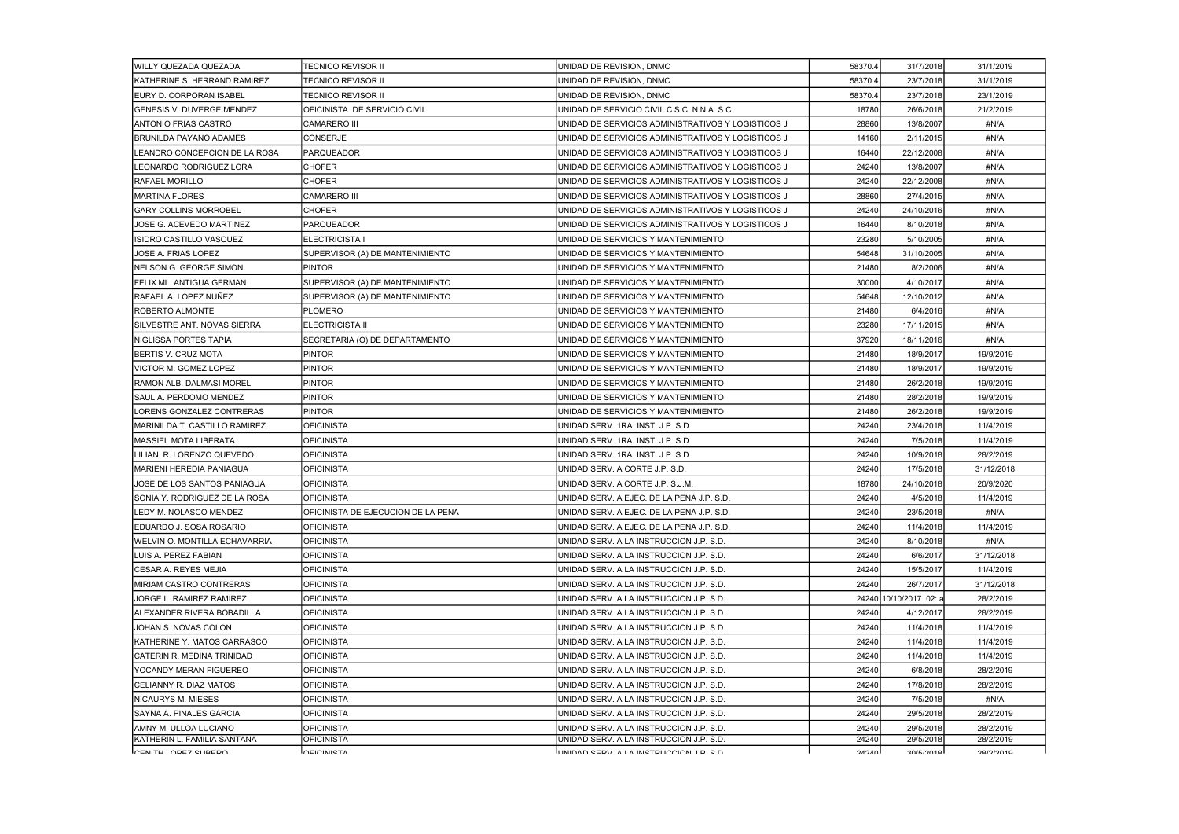| <b>WILLY QUEZADA QUEZADA</b>       | <b>TECNICO REVISOR II</b>          | UNIDAD DE REVISION, DNMC                           | 58370.4      | 31/7/2018             | 31/1/2019  |
|------------------------------------|------------------------------------|----------------------------------------------------|--------------|-----------------------|------------|
| IKATHERINE S. HERRAND RAMIREZ      | TECNICO REVISOR II                 | UNIDAD DE REVISION, DNMC                           | 58370.4      | 23/7/2018             | 31/1/2019  |
| EURY D. CORPORAN ISABEL            | <b>TECNICO REVISOR II</b>          | UNIDAD DE REVISION. DNMC                           | 58370.4      | 23/7/2018             | 23/1/2019  |
| <b>GENESIS V. DUVERGE MENDEZ</b>   | OFICINISTA DE SERVICIO CIVIL       | UNIDAD DE SERVICIO CIVIL C.S.C. N.N.A. S.C.        | 18780        | 26/6/2018             | 21/2/2019  |
| ANTONIO FRIAS CASTRO               | <b>CAMARERO III</b>                | UNIDAD DE SERVICIOS ADMINISTRATIVOS Y LOGISTICOS J | 28860        | 13/8/2007             | #N/A       |
| <b>BRUNILDA PAYANO ADAMES</b>      | <b>CONSERJE</b>                    | UNIDAD DE SERVICIOS ADMINISTRATIVOS Y LOGISTICOS J | 14160        | 2/11/2015             | #N/A       |
| LEANDRO CONCEPCION DE LA ROSA      | <b>PARQUEADOR</b>                  | UNIDAD DE SERVICIOS ADMINISTRATIVOS Y LOGISTICOS J | 16440        | 22/12/2008            | #N/A       |
| LEONARDO RODRIGUEZ LORA            | <b>CHOFER</b>                      | UNIDAD DE SERVICIOS ADMINISTRATIVOS Y LOGISTICOS J | 24240        | 13/8/2007             | #N/A       |
| IRAFAEL MORILLO                    | <b>CHOFER</b>                      | UNIDAD DE SERVICIOS ADMINISTRATIVOS Y LOGISTICOS J | 24240        | 22/12/2008            | #N/A       |
| MARTINA FLORES                     | <b>CAMARERO III</b>                | UNIDAD DE SERVICIOS ADMINISTRATIVOS Y LOGISTICOS J | 28860        | 27/4/2015             | #N/A       |
| <b>GARY COLLINS MORROBEL</b>       | <b>CHOFER</b>                      | UNIDAD DE SERVICIOS ADMINISTRATIVOS Y LOGISTICOS J | 24240        | 24/10/2016            | #N/A       |
| JOSE G. ACEVEDO MARTINEZ           | <b>PARQUEADOR</b>                  | UNIDAD DE SERVICIOS ADMINISTRATIVOS Y LOGISTICOS J | 16440        | 8/10/2018             | #N/A       |
| IISIDRO CASTILLO VASQUEZ           | <b>ELECTRICISTA I</b>              | UNIDAD DE SERVICIOS Y MANTENIMIENTO                | 23280        | 5/10/2005             | #N/A       |
| JOSE A. FRIAS LOPEZ                | SUPERVISOR (A) DE MANTENIMIENTO    | UNIDAD DE SERVICIOS Y MANTENIMIENTO                | 54648        | 31/10/2005            | #N/A       |
| <b>INELSON G. GEORGE SIMON</b>     | <b>PINTOR</b>                      | UNIDAD DE SERVICIOS Y MANTENIMIENTO                | 21480        | 8/2/2006              | #N/A       |
| FELIX ML. ANTIGUA GERMAN           | SUPERVISOR (A) DE MANTENIMIENTO    | UNIDAD DE SERVICIOS Y MANTENIMIENTO                | 30000        | 4/10/2017             | #N/A       |
| RAFAEL A. LOPEZ NUÑEZ              | SUPERVISOR (A) DE MANTENIMIENTO    | UNIDAD DE SERVICIOS Y MANTENIMIENTO                | 54648        | 12/10/2012            | #N/A       |
| <b>ROBERTO ALMONTE</b>             | <b>PLOMERO</b>                     | UNIDAD DE SERVICIOS Y MANTENIMIENTO                | 21480        | 6/4/2016              | #N/A       |
| ISILVESTRE ANT. NOVAS SIERRA       | <b>ELECTRICISTA II</b>             | UNIDAD DE SERVICIOS Y MANTENIMIENTO                | 23280        | 17/11/2015            | #N/A       |
| <b>NIGLISSA PORTES TAPIA</b>       | SECRETARIA (O) DE DEPARTAMENTO     | UNIDAD DE SERVICIOS Y MANTENIMIENTO                | 37920        | 18/11/2016            | #N/A       |
| BERTIS V. CRUZ MOTA                | <b>PINTOR</b>                      | UNIDAD DE SERVICIOS Y MANTENIMIENTO                | 21480        | 18/9/2017             | 19/9/2019  |
| VICTOR M. GOMEZ LOPEZ              | <b>PINTOR</b>                      | UNIDAD DE SERVICIOS Y MANTENIMIENTO                | 21480        | 18/9/2017             | 19/9/2019  |
| RAMON ALB. DALMASI MOREL           | <b>PINTOR</b>                      | UNIDAD DE SERVICIOS Y MANTENIMIENTO                | 21480        | 26/2/2018             | 19/9/2019  |
| SAUL A. PERDOMO MENDEZ             | PINTOR                             | UNIDAD DE SERVICIOS Y MANTENIMIENTO                | 21480        | 28/2/2018             | 19/9/2019  |
| LORENS GONZALEZ CONTRERAS          | <b>PINTOR</b>                      | UNIDAD DE SERVICIOS Y MANTENIMIENTO                | 21480        | 26/2/2018             | 19/9/2019  |
| MARINILDA T. CASTILLO RAMIREZ      | <b>OFICINISTA</b>                  | UNIDAD SERV. 1RA. INST. J.P. S.D.                  | 24240        | 23/4/2018             | 11/4/2019  |
| IMASSIEL MOTA LIBERATA             | <b>OFICINISTA</b>                  | UNIDAD SERV. 1RA. INST. J.P. S.D.                  | 24240        | 7/5/2018              | 11/4/2019  |
| LILIAN R. LORENZO QUEVEDO          | <b>OFICINISTA</b>                  | UNIDAD SERV. 1RA. INST. J.P. S.D.                  | 24240        | 10/9/2018             | 28/2/2019  |
| MARIENI HEREDIA PANIAGUA           | <b>OFICINISTA</b>                  | UNIDAD SERV. A CORTE J.P. S.D.                     | 24240        | 17/5/2018             | 31/12/2018 |
| JOSE DE LOS SANTOS PANIAGUA        | <b>OFICINISTA</b>                  | UNIDAD SERV. A CORTE J.P. S.J.M.                   | 18780        | 24/10/2018            | 20/9/2020  |
| SONIA Y. RODRIGUEZ DE LA ROSA      | OFICINISTA                         | UNIDAD SERV. A EJEC. DE LA PENA J.P. S.D.          | 24240        | 4/5/2018              | 11/4/2019  |
| LEDY M. NOLASCO MENDEZ             | OFICINISTA DE EJECUCION DE LA PENA | UNIDAD SERV. A EJEC. DE LA PENA J.P. S.D.          | 24240        | 23/5/2018             | #N/A       |
| IEDUARDO J. SOSA ROSARIO           | <b>OFICINISTA</b>                  | UNIDAD SERV. A EJEC. DE LA PENA J.P. S.D.          | 24240        | 11/4/2018             | 11/4/2019  |
| IWELVIN O. MONTILLA ECHAVARRIA     | <b>OFICINISTA</b>                  | UNIDAD SERV. A LA INSTRUCCION J.P. S.D.            | 24240        | 8/10/2018             | #N/A       |
| LUIS A. PEREZ FABIAN               | <b>OFICINISTA</b>                  | UNIDAD SERV. A LA INSTRUCCION J.P. S.D.            | 24240        | 6/6/2017              | 31/12/2018 |
| ICESAR A. REYES MEJIA              | OFICINISTA                         | UNIDAD SERV. A LA INSTRUCCION J.P. S.D.            | 24240        | 15/5/2017             | 11/4/2019  |
| IMIRIAM CASTRO CONTRERAS           | <b>OFICINISTA</b>                  | UNIDAD SERV. A LA INSTRUCCION J.P. S.D.            | 24240        | 26/7/2017             | 31/12/2018 |
| JORGE L. RAMIREZ RAMIREZ           | <b>OFICINISTA</b>                  | UNIDAD SERV. A LA INSTRUCCION J.P. S.D.            |              | 2424010/10/2017 02: a | 28/2/2019  |
| IALEXANDER RIVERA BOBADILLA        | <b>OFICINISTA</b>                  | UNIDAD SERV. A LA INSTRUCCION J.P. S.D.            | 24240        | 4/12/2017             | 28/2/2019  |
| JOHAN S. NOVAS COLON               | <b>OFICINISTA</b>                  | UNIDAD SERV. A LA INSTRUCCION J.P. S.D.            | 24240        | 11/4/2018             | 11/4/2019  |
| IKATHERINE Y. MATOS CARRASCO       | <b>OFICINISTA</b>                  | UNIDAD SERV. A LA INSTRUCCION J.P. S.D.            | 24240        | 11/4/2018             | 11/4/2019  |
| <b>ICATERIN R. MEDINA TRINIDAD</b> | <b>OFICINISTA</b>                  | UNIDAD SERV. A LA INSTRUCCION J.P. S.D.            | 24240        | 11/4/2018             | 11/4/2019  |
| IYOCANDY MERAN FIGUEREO            | <b>OFICINISTA</b>                  | UNIDAD SERV. A LA INSTRUCCION J.P. S.D.            | 24240        | 6/8/2018              | 28/2/2019  |
| <b>ICELIANNY R. DIAZ MATOS</b>     | OFICINISTA                         | UNIDAD SERV. A LA INSTRUCCION J.P. S.D.            | 24240        | 17/8/2018             | 28/2/2019  |
| INICAURYS M. MIESES                | <b>OFICINISTA</b>                  | UNIDAD SERV. A LA INSTRUCCION J.P. S.D.            | 24240        | 7/5/2018              | #N/A       |
| ISAYNA A. PINALES GARCIA           | OFICINISTA                         | UNIDAD SERV. A LA INSTRUCCION J.P. S.D.            | 24240        | 29/5/2018             | 28/2/2019  |
| AMNY M. ULLOA LUCIANO              | <b>OFICINISTA</b>                  | UNIDAD SERV. A LA INSTRUCCION J.P. S.D.            | 24240        | 29/5/2018             | 28/2/2019  |
| KATHERIN L. FAMILIA SANTANA        | <b>OFICINISTA</b>                  | UNIDAD SERV. A LA INSTRUCCION J.P. S.D.            | 24240        | 29/5/2018             | 28/2/2019  |
| ICENTU I ODEZ SHBEDO               | <b>INEININIETA</b>                 | ILINIDAD CEDY A LA INCTDUCCION LD CD               | <b>DACAC</b> | 30 E                  | חומומוסף   |